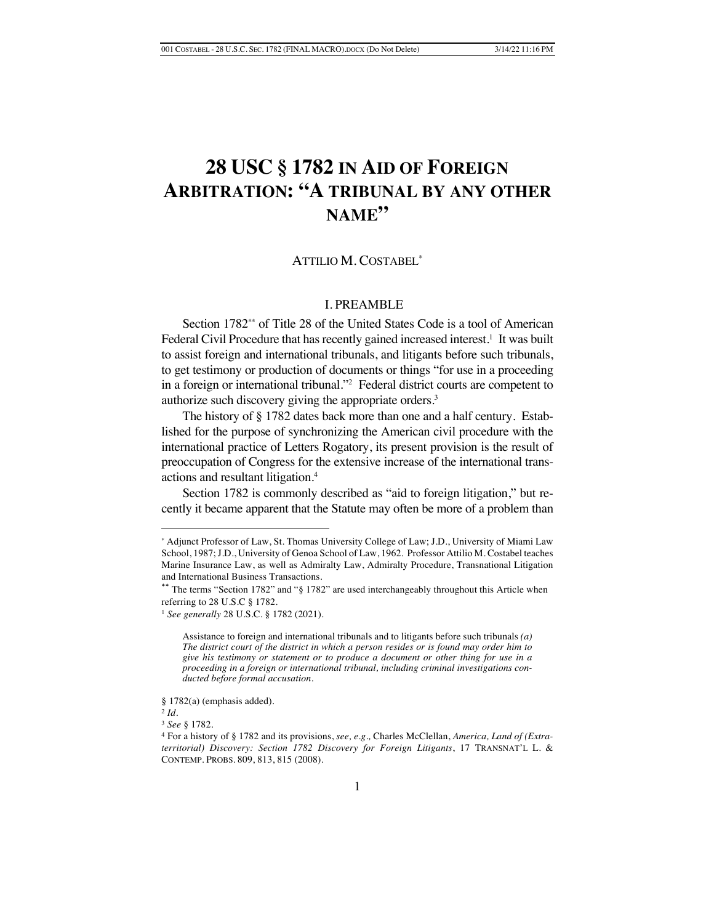# **28 USC § 1782 IN AID OF FOREIGN ARBITRATION: "A TRIBUNAL BY ANY OTHER NAME"**

# ATTILIO M. COSTABEL\*

# I. PREAMBLE

Section 1782\*\* of Title 28 of the United States Code is a tool of American Federal Civil Procedure that has recently gained increased interest.<sup>1</sup> It was built to assist foreign and international tribunals, and litigants before such tribunals, to get testimony or production of documents or things "for use in a proceeding in a foreign or international tribunal."2 Federal district courts are competent to authorize such discovery giving the appropriate orders.<sup>3</sup>

The history of § 1782 dates back more than one and a half century. Established for the purpose of synchronizing the American civil procedure with the international practice of Letters Rogatory, its present provision is the result of preoccupation of Congress for the extensive increase of the international transactions and resultant litigation.4

Section 1782 is commonly described as "aid to foreign litigation," but recently it became apparent that the Statute may often be more of a problem than

<sup>\*</sup> Adjunct Professor of Law, St. Thomas University College of Law; J.D., University of Miami Law School, 1987; J.D., University of Genoa School of Law, 1962. Professor Attilio M. Costabel teaches Marine Insurance Law, as well as Admiralty Law, Admiralty Procedure, Transnational Litigation and International Business Transactions.

The terms "Section 1782" and "§ 1782" are used interchangeably throughout this Article when referring to 28 U.S.C § 1782.

<sup>1</sup> *See generally* 28 U.S.C. § 1782 (2021).

Assistance to foreign and international tribunals and to litigants before such tribunals *(a) The district court of the district in which a person resides or is found may order him to give his testimony or statement or to produce a document or other thing for use in a proceeding in a foreign or international tribunal, including criminal investigations conducted before formal accusation.* 

<sup>§ 1782(</sup>a) (emphasis added).

<sup>2</sup> *Id.*

<sup>3</sup> *See* § 1782.

<sup>4</sup> For a history of § 1782 and its provisions, *see, e.g.,* Charles McClellan, *America, Land of (Extraterritorial) Discovery: Section 1782 Discovery for Foreign Litigants*, 17 TRANSNAT'L L. & CONTEMP. PROBS. 809, 813, 815 (2008).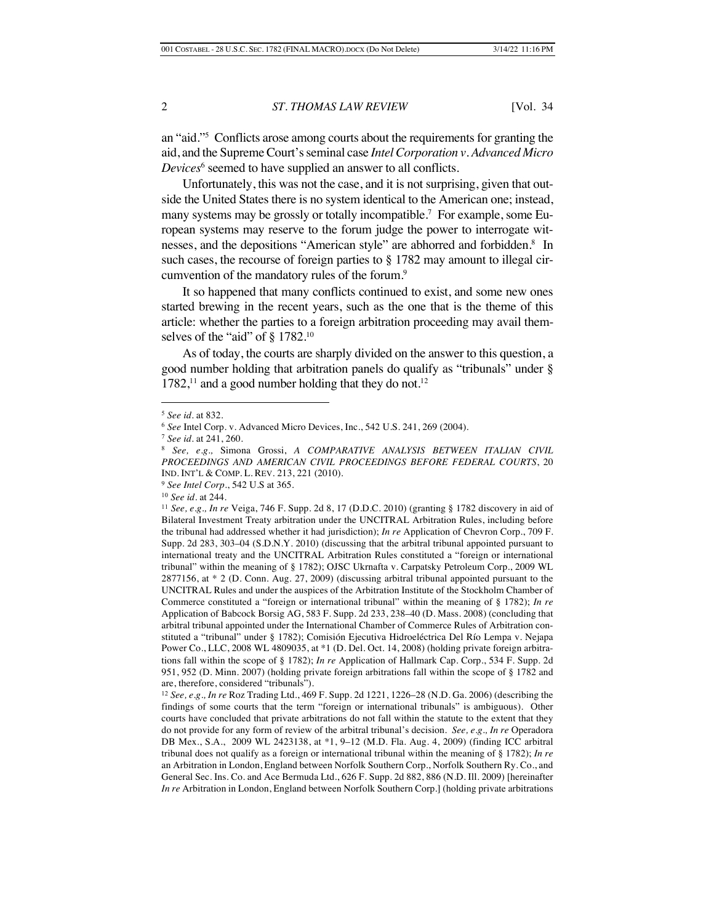an "aid."5 Conflicts arose among courts about the requirements for granting the aid, and the Supreme Court's seminal case *Intel Corporation v. Advanced Micro Devices*<sup>6</sup> seemed to have supplied an answer to all conflicts.

Unfortunately, this was not the case, and it is not surprising, given that outside the United States there is no system identical to the American one; instead, many systems may be grossly or totally incompatible.7 For example, some European systems may reserve to the forum judge the power to interrogate witnesses, and the depositions "American style" are abhorred and forbidden.<sup>8</sup> In such cases, the recourse of foreign parties to § 1782 may amount to illegal circumvention of the mandatory rules of the forum.<sup>9</sup>

It so happened that many conflicts continued to exist, and some new ones started brewing in the recent years, such as the one that is the theme of this article: whether the parties to a foreign arbitration proceeding may avail themselves of the "aid" of § 1782.<sup>10</sup>

As of today, the courts are sharply divided on the answer to this question, a good number holding that arbitration panels do qualify as "tribunals" under §  $1782$ ,<sup>11</sup> and a good number holding that they do not.<sup>12</sup>

<sup>9</sup> *See Intel Corp.*, 542 U.S at 365.

<sup>5</sup> *See id.* at 832.

<sup>6</sup> *See* Intel Corp. v. Advanced Micro Devices, Inc., 542 U.S. 241, 269 (2004).

<sup>7</sup> *See id.* at 241, 260.

<sup>8</sup> *See, e.g.,* Simona Grossi, *A COMPARATIVE ANALYSIS BETWEEN ITALIAN CIVIL PROCEEDINGS AND AMERICAN CIVIL PROCEEDINGS BEFORE FEDERAL COURTS*, 20 IND. INT'L & COMP. L. REV. 213, 221 (2010).

<sup>10</sup> *See id.* at 244*.*

<sup>11</sup> *See, e.g., In re* Veiga, 746 F. Supp. 2d 8, 17 (D.D.C. 2010) (granting § 1782 discovery in aid of Bilateral Investment Treaty arbitration under the UNCITRAL Arbitration Rules, including before the tribunal had addressed whether it had jurisdiction); *In re* Application of Chevron Corp., 709 F. Supp. 2d 283, 303–04 (S.D.N.Y. 2010) (discussing that the arbitral tribunal appointed pursuant to international treaty and the UNCITRAL Arbitration Rules constituted a "foreign or international tribunal" within the meaning of § 1782); OJSC Ukrnafta v. Carpatsky Petroleum Corp., 2009 WL 2877156, at \* 2 (D. Conn. Aug. 27, 2009) (discussing arbitral tribunal appointed pursuant to the UNCITRAL Rules and under the auspices of the Arbitration Institute of the Stockholm Chamber of Commerce constituted a "foreign or international tribunal" within the meaning of § 1782); *In re* Application of Babcock Borsig AG, 583 F. Supp. 2d 233, 238–40 (D. Mass. 2008) (concluding that arbitral tribunal appointed under the International Chamber of Commerce Rules of Arbitration constituted a "tribunal" under § 1782); Comisión Ejecutiva Hidroeléctrica Del Río Lempa v. Nejapa Power Co., LLC, 2008 WL 4809035, at \*1 (D. Del. Oct. 14, 2008) (holding private foreign arbitrations fall within the scope of § 1782); *In re* Application of Hallmark Cap. Corp., 534 F. Supp. 2d 951, 952 (D. Minn. 2007) (holding private foreign arbitrations fall within the scope of § 1782 and are, therefore, considered "tribunals").

<sup>12</sup> *See, e.g., In re* Roz Trading Ltd., 469 F. Supp. 2d 1221, 1226–28 (N.D. Ga. 2006) (describing the findings of some courts that the term "foreign or international tribunals" is ambiguous). Other courts have concluded that private arbitrations do not fall within the statute to the extent that they do not provide for any form of review of the arbitral tribunal's decision. *See, e.g., In re* Operadora DB Mex., S.A., 2009 WL 2423138, at \*1, 9–12 (M.D. Fla. Aug. 4, 2009) (finding ICC arbitral tribunal does not qualify as a foreign or international tribunal within the meaning of § 1782); *In re* an Arbitration in London, England between Norfolk Southern Corp., Norfolk Southern Ry. Co., and General Sec. Ins. Co. and Ace Bermuda Ltd., 626 F. Supp. 2d 882, 886 (N.D. Ill. 2009) [hereinafter *In re* Arbitration in London, England between Norfolk Southern Corp.] (holding private arbitrations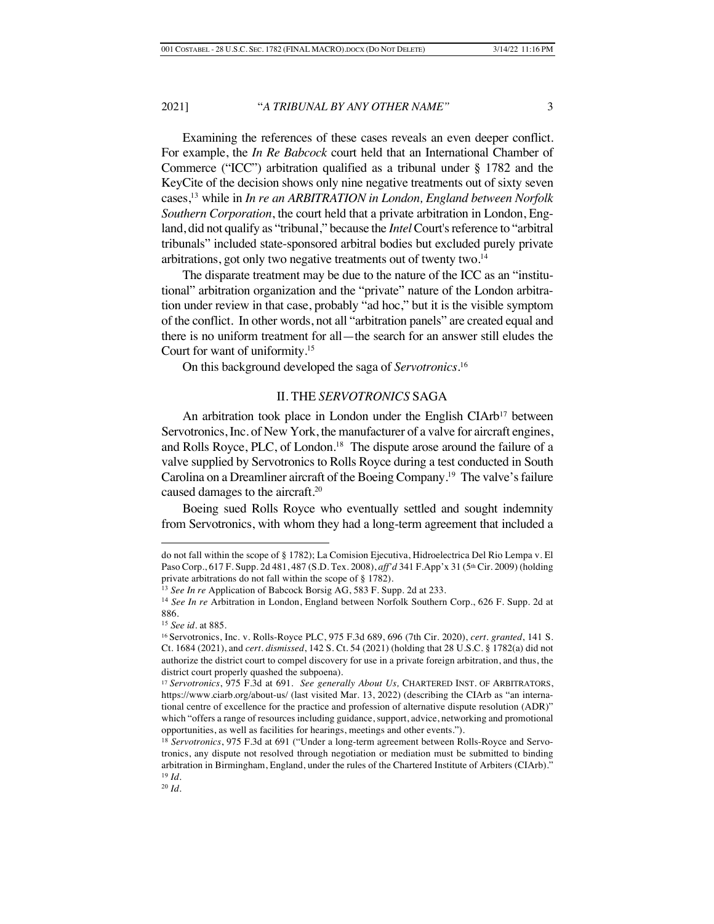Examining the references of these cases reveals an even deeper conflict. For example, the *In Re Babcock* court held that an International Chamber of Commerce ("ICC") arbitration qualified as a tribunal under § 1782 and the KeyCite of the decision shows only nine negative treatments out of sixty seven cases,13 while in *In re an ARBITRATION in London, England between Norfolk Southern Corporation*, the court held that a private arbitration in London, England, did not qualify as "tribunal," because the *Intel* Court's reference to "arbitral tribunals" included state-sponsored arbitral bodies but excluded purely private arbitrations, got only two negative treatments out of twenty two.<sup>14</sup>

The disparate treatment may be due to the nature of the ICC as an "institutional" arbitration organization and the "private" nature of the London arbitration under review in that case, probably "ad hoc," but it is the visible symptom of the conflict. In other words, not all "arbitration panels" are created equal and there is no uniform treatment for all—the search for an answer still eludes the Court for want of uniformity. 15

On this background developed the saga of *Servotronics*. 16

### II. THE *SERVOTRONICS* SAGA

An arbitration took place in London under the English CIArb<sup>17</sup> between Servotronics, Inc. of New York, the manufacturer of a valve for aircraft engines, and Rolls Royce, PLC, of London.<sup>18</sup> The dispute arose around the failure of a valve supplied by Servotronics to Rolls Royce during a test conducted in South Carolina on a Dreamliner aircraft of the Boeing Company.19 The valve's failure caused damages to the aircraft.20

Boeing sued Rolls Royce who eventually settled and sought indemnity from Servotronics, with whom they had a long-term agreement that included a

do not fall within the scope of § 1782); La Comision Ejecutiva, Hidroelectrica Del Rio Lempa v. El Paso Corp., 617 F. Supp. 2d 481, 487 (S.D. Tex. 2008), *aff'd* 341 F. App'x 31 (5<sup>th</sup> Cir. 2009) (holding private arbitrations do not fall within the scope of § 1782).

<sup>&</sup>lt;sup>13</sup> See In re Application of Babcock Borsig AG, 583 F. Supp. 2d at 233.

<sup>14</sup> *See In re* Arbitration in London, England between Norfolk Southern Corp., 626 F. Supp. 2d at 886.

<sup>15</sup> *See id.* at 885.

<sup>16</sup> Servotronics, Inc. v. Rolls-Royce PLC, 975 F.3d 689, 696 (7th Cir. 2020), *cert. granted*, 141 S. Ct. 1684 (2021), and *cert. dismissed*, 142 S. Ct. 54 (2021) (holding that 28 U.S.C. § 1782(a) did not authorize the district court to compel discovery for use in a private foreign arbitration, and thus, the district court properly quashed the subpoena).

<sup>17</sup> *Servotronics*, 975 F.3d at 691. *See generally About Us,* CHARTERED INST. OF ARBITRATORS, https://www.ciarb.org/about-us/ (last visited Mar. 13, 2022) (describing the CIArb as "an international centre of excellence for the practice and profession of alternative dispute resolution (ADR)" which "offers a range of resources including guidance, support, advice, networking and promotional opportunities, as well as facilities for hearings, meetings and other events.").

<sup>18</sup> *Servotronics*, 975 F.3d at 691 ("Under a long-term agreement between Rolls-Royce and Servotronics, any dispute not resolved through negotiation or mediation must be submitted to binding arbitration in Birmingham, England, under the rules of the Chartered Institute of Arbiters (CIArb)." <sup>19</sup> *Id.*

<sup>20</sup> *Id.*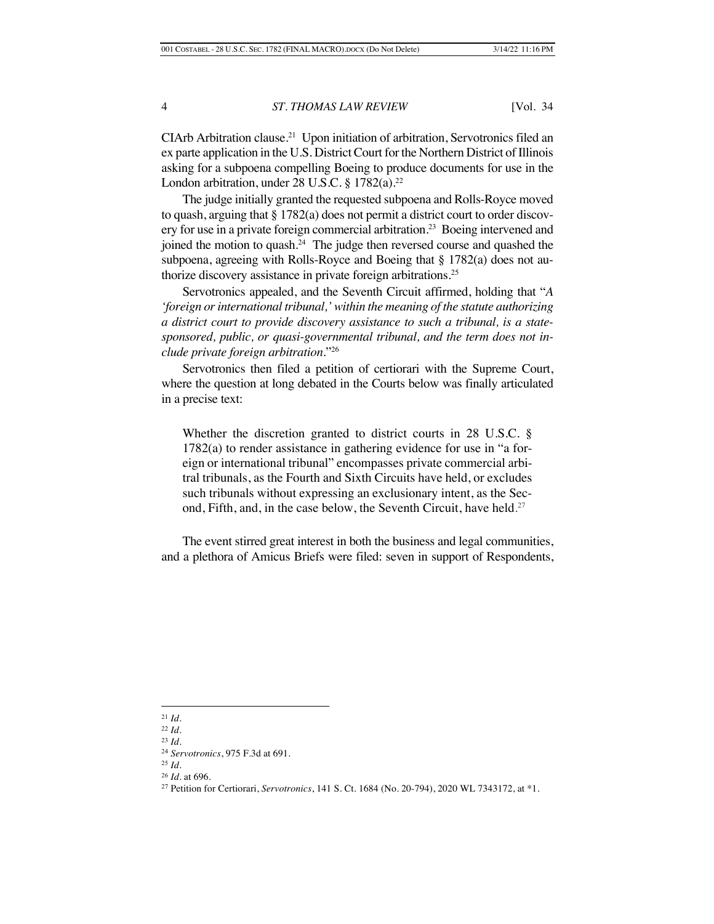CIArb Arbitration clause.21 Upon initiation of arbitration, Servotronics filed an ex parte application in the U.S. District Court for the Northern District of Illinois asking for a subpoena compelling Boeing to produce documents for use in the London arbitration, under  $28$  U.S.C. § 1782(a).<sup>22</sup>

The judge initially granted the requested subpoena and Rolls-Royce moved to quash, arguing that § 1782(a) does not permit a district court to order discovery for use in a private foreign commercial arbitration.<sup>23</sup> Boeing intervened and joined the motion to quash.24 The judge then reversed course and quashed the subpoena, agreeing with Rolls-Royce and Boeing that § 1782(a) does not authorize discovery assistance in private foreign arbitrations.<sup>25</sup>

Servotronics appealed, and the Seventh Circuit affirmed, holding that "*A 'foreign or international tribunal,' within the meaning of the statute authorizing a district court to provide discovery assistance to such a tribunal, is a statesponsored, public, or quasi-governmental tribunal, and the term does not include private foreign arbitration.*"26

Servotronics then filed a petition of certiorari with the Supreme Court, where the question at long debated in the Courts below was finally articulated in a precise text:

Whether the discretion granted to district courts in 28 U.S.C. § 1782(a) to render assistance in gathering evidence for use in "a foreign or international tribunal" encompasses private commercial arbitral tribunals, as the Fourth and Sixth Circuits have held, or excludes such tribunals without expressing an exclusionary intent, as the Second, Fifth, and, in the case below, the Seventh Circuit, have held*.* 27

The event stirred great interest in both the business and legal communities, and a plethora of Amicus Briefs were filed: seven in support of Respondents,

<sup>21</sup> *Id*.

<sup>22</sup> *Id.* <sup>23</sup> *Id.*

<sup>24</sup> *Servotronics*, 975 F.3d at 691.

<sup>25</sup> *Id.*

<sup>26</sup> *Id.* at 696.

<sup>27</sup> Petition for Certiorari, *Servotronics*, 141 S. Ct. 1684 (No. 20-794), 2020 WL 7343172, at \*1.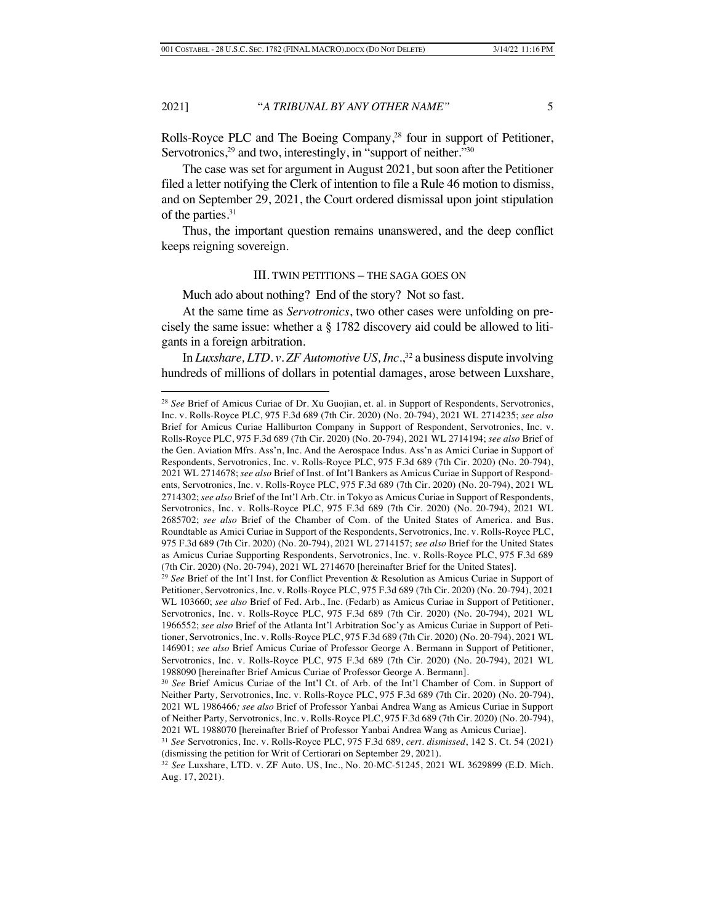Rolls-Royce PLC and The Boeing Company,<sup>28</sup> four in support of Petitioner, Servotronics,<sup>29</sup> and two, interestingly, in "support of neither."<sup>30</sup>

The case was set for argument in August 2021, but soon after the Petitioner filed a letter notifying the Clerk of intention to file a Rule 46 motion to dismiss, and on September 29, 2021, the Court ordered dismissal upon joint stipulation of the parties.<sup>31</sup>

Thus, the important question remains unanswered, and the deep conflict keeps reigning sovereign.

# III. TWIN PETITIONS – THE SAGA GOES ON

Much ado about nothing? End of the story? Not so fast.

At the same time as *Servotronics*, two other cases were unfolding on precisely the same issue: whether a § 1782 discovery aid could be allowed to litigants in a foreign arbitration.

In *Luxshare, LTD. v. ZF Automotive US, Inc.*<sup>32</sup> a business dispute involving hundreds of millions of dollars in potential damages, arose between Luxshare,

<sup>28</sup> *See* Brief of Amicus Curiae of Dr. Xu Guojian, et. al. in Support of Respondents, Servotronics, Inc. v. Rolls-Royce PLC, 975 F.3d 689 (7th Cir. 2020) (No. 20-794), 2021 WL 2714235; *see also*  Brief for Amicus Curiae Halliburton Company in Support of Respondent, Servotronics, Inc. v. Rolls-Royce PLC, 975 F.3d 689 (7th Cir. 2020) (No. 20-794), 2021 WL 2714194; *see also* Brief of the Gen. Aviation Mfrs. Ass'n, Inc. And the Aerospace Indus. Ass'n as Amici Curiae in Support of Respondents, Servotronics, Inc. v. Rolls-Royce PLC, 975 F.3d 689 (7th Cir. 2020) (No. 20-794), 2021 WL 2714678; *see also* Brief of Inst. of Int'l Bankers as Amicus Curiae in Support of Respondents*,* Servotronics, Inc. v. Rolls-Royce PLC, 975 F.3d 689 (7th Cir. 2020) (No. 20-794), 2021 WL 2714302; *see also* Brief of the Int'l Arb. Ctr. in Tokyo as Amicus Curiae in Support of Respondents, Servotronics, Inc. v. Rolls-Royce PLC, 975 F.3d 689 (7th Cir. 2020) (No. 20-794), 2021 WL 2685702; *see also* Brief of the Chamber of Com. of the United States of America. and Bus. Roundtable as Amici Curiae in Support of the Respondents, Servotronics, Inc. v. Rolls-Royce PLC, 975 F.3d 689 (7th Cir. 2020) (No. 20-794), 2021 WL 2714157; *see also* Brief for the United States as Amicus Curiae Supporting Respondents, Servotronics, Inc. v. Rolls-Royce PLC, 975 F.3d 689 (7th Cir. 2020) (No. 20-794), 2021 WL 2714670 [hereinafter Brief for the United States].

<sup>29</sup> *See* Brief of the Int'l Inst. for Conflict Prevention & Resolution as Amicus Curiae in Support of Petitioner, Servotronics, Inc. v. Rolls-Royce PLC, 975 F.3d 689 (7th Cir. 2020) (No. 20-794), 2021 WL 103660; *see also* Brief of Fed. Arb., Inc. (Fedarb) as Amicus Curiae in Support of Petitioner, Servotronics, Inc. v. Rolls-Royce PLC, 975 F.3d 689 (7th Cir. 2020) (No. 20-794), 2021 WL 1966552; *see also* Brief of the Atlanta Int'l Arbitration Soc'y as Amicus Curiae in Support of Petitioner, Servotronics, Inc. v. Rolls-Royce PLC, 975 F.3d 689 (7th Cir. 2020) (No. 20-794), 2021 WL 146901; *see also* Brief Amicus Curiae of Professor George A. Bermann in Support of Petitioner, Servotronics, Inc. v. Rolls-Royce PLC, 975 F.3d 689 (7th Cir. 2020) (No. 20-794), 2021 WL 1988090 [hereinafter Brief Amicus Curiae of Professor George A. Bermann].

<sup>30</sup> *See* Brief Amicus Curiae of the Int'l Ct. of Arb. of the Int'l Chamber of Com. in Support of Neither Party*,* Servotronics, Inc. v. Rolls-Royce PLC, 975 F.3d 689 (7th Cir. 2020) (No. 20-794), 2021 WL 1986466*; see also* Brief of Professor Yanbai Andrea Wang as Amicus Curiae in Support of Neither Party*,* Servotronics, Inc. v. Rolls-Royce PLC, 975 F.3d 689 (7th Cir. 2020) (No. 20-794), 2021 WL 1988070 [hereinafter Brief of Professor Yanbai Andrea Wang as Amicus Curiae].

<sup>31</sup> *See* Servotronics, Inc. v. Rolls-Royce PLC, 975 F.3d 689, *cert. dismissed*, 142 S. Ct. 54 (2021) (dismissing the petition for Writ of Certiorari on September 29, 2021).

<sup>32</sup> *See* Luxshare, LTD. v. ZF Auto. US, Inc., No. 20-MC-51245, 2021 WL 3629899 (E.D. Mich. Aug. 17, 2021).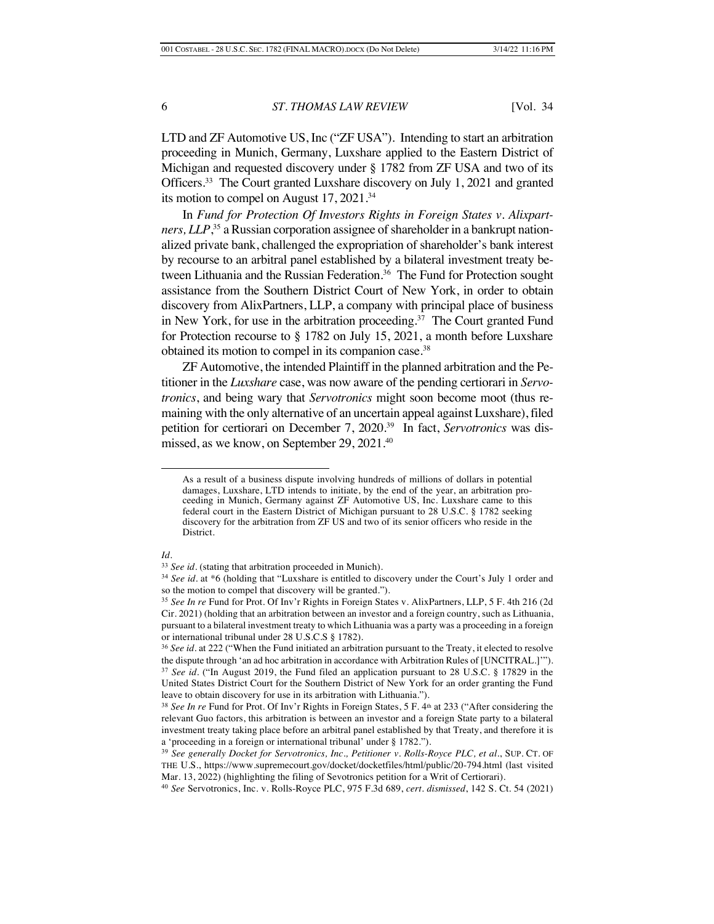LTD and ZF Automotive US, Inc ("ZF USA"). Intending to start an arbitration proceeding in Munich, Germany, Luxshare applied to the Eastern District of Michigan and requested discovery under § 1782 from ZF USA and two of its Officers.<sup>33</sup> The Court granted Luxshare discovery on July 1, 2021 and granted its motion to compel on August 17, 2021.34

In *Fund for Protection Of Investors Rights in Foreign States v. Alixpartners, LLP*, <sup>35</sup> a Russian corporation assignee of shareholder in a bankrupt nationalized private bank, challenged the expropriation of shareholder's bank interest by recourse to an arbitral panel established by a bilateral investment treaty between Lithuania and the Russian Federation.<sup>36</sup> The Fund for Protection sought assistance from the Southern District Court of New York, in order to obtain discovery from AlixPartners, LLP, a company with principal place of business in New York, for use in the arbitration proceeding.<sup>37</sup> The Court granted Fund for Protection recourse to § 1782 on July 15, 2021, a month before Luxshare obtained its motion to compel in its companion case.<sup>38</sup>

ZF Automotive, the intended Plaintiff in the planned arbitration and the Petitioner in the *Luxshare* case, was now aware of the pending certiorari in *Servotronics*, and being wary that *Servotronics* might soon become moot (thus remaining with the only alternative of an uncertain appeal against Luxshare), filed petition for certiorari on December 7, 2020.39 In fact, *Servotronics* was dismissed, as we know, on September 29, 2021. 40

#### *Id.*

As a result of a business dispute involving hundreds of millions of dollars in potential damages, Luxshare, LTD intends to initiate, by the end of the year, an arbitration proceeding in Munich, Germany against ZF Automotive US, Inc. Luxshare came to this federal court in the Eastern District of Michigan pursuant to 28 U.S.C. § 1782 seeking discovery for the arbitration from ZF US and two of its senior officers who reside in the District.

<sup>33</sup> *See id.* (stating that arbitration proceeded in Munich).

<sup>34</sup> *See id.* at \*6 (holding that "Luxshare is entitled to discovery under the Court's July 1 order and so the motion to compel that discovery will be granted.").

<sup>35</sup> *See In re* Fund for Prot. Of Inv'r Rights in Foreign States v. AlixPartners, LLP, 5 F. 4th 216 (2d Cir. 2021) (holding that an arbitration between an investor and a foreign country, such as Lithuania, pursuant to a bilateral investment treaty to which Lithuania was a party was a proceeding in a foreign or international tribunal under 28 U.S.C.S § 1782).

<sup>36</sup> *See id.* at 222 ("When the Fund initiated an arbitration pursuant to the Treaty, it elected to resolve the dispute through 'an ad hoc arbitration in accordance with Arbitration Rules of [UNCITRAL.]'"). <sup>37</sup> *See id.* ("In August 2019, the Fund filed an application pursuant to 28 U.S.C. § 17829 in the United States District Court for the Southern District of New York for an order granting the Fund leave to obtain discovery for use in its arbitration with Lithuania.").

<sup>38</sup> *See In re* Fund for Prot. Of Inv'r Rights in Foreign States, 5 F. 4th at 233 ("After considering the relevant Guo factors, this arbitration is between an investor and a foreign State party to a bilateral investment treaty taking place before an arbitral panel established by that Treaty, and therefore it is a 'proceeding in a foreign or international tribunal' under § 1782.").

<sup>39</sup> *See generally Docket for Servotronics, Inc., Petitioner v. Rolls-Royce PLC, et al.*, SUP. CT. OF THE U.S., https://www.supremecourt.gov/docket/docketfiles/html/public/20-794.html (last visited Mar. 13, 2022) (highlighting the filing of Sevotronics petition for a Writ of Certiorari).

<sup>40</sup> *See* Servotronics, Inc. v. Rolls-Royce PLC, 975 F.3d 689, *cert. dismissed*, 142 S. Ct. 54 (2021)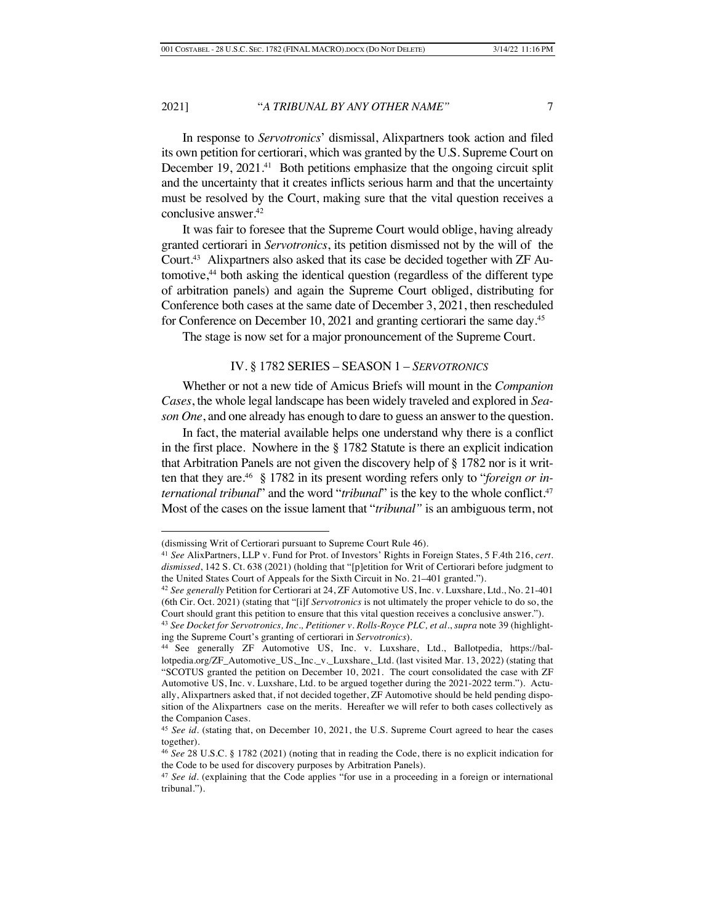In response to *Servotronics*' dismissal, Alixpartners took action and filed its own petition for certiorari, which was granted by the U.S. Supreme Court on December 19, 2021.<sup>41</sup> Both petitions emphasize that the ongoing circuit split and the uncertainty that it creates inflicts serious harm and that the uncertainty must be resolved by the Court, making sure that the vital question receives a conclusive answer.42

It was fair to foresee that the Supreme Court would oblige, having already granted certiorari in *Servotronics*, its petition dismissed not by the will of the Court.<sup>43</sup> Alixpartners also asked that its case be decided together with ZF Automotive,<sup>44</sup> both asking the identical question (regardless of the different type of arbitration panels) and again the Supreme Court obliged, distributing for Conference both cases at the same date of December 3, 2021, then rescheduled for Conference on December 10, 2021 and granting certiorari the same day.<sup>45</sup>

The stage is now set for a major pronouncement of the Supreme Court.

# IV. § 1782 SERIES – SEASON 1 – *SERVOTRONICS*

Whether or not a new tide of Amicus Briefs will mount in the *Companion Cases*, the whole legal landscape has been widely traveled and explored in *Season One*, and one already has enough to dare to guess an answer to the question.

In fact, the material available helps one understand why there is a conflict in the first place. Nowhere in the § 1782 Statute is there an explicit indication that Arbitration Panels are not given the discovery help of § 1782 nor is it written that they are.46 § 1782 in its present wording refers only to "*foreign or international tribunal*" and the word "*tribunal*" is the key to the whole conflict.<sup>47</sup> Most of the cases on the issue lament that "*tribunal"* is an ambiguous term, not

<sup>(</sup>dismissing Writ of Certiorari pursuant to Supreme Court Rule 46).

<sup>41</sup> *See* AlixPartners, LLP v. Fund for Prot. of Investors' Rights in Foreign States, 5 F.4th 216, *cert. dismissed*, 142 S. Ct. 638 (2021) (holding that "[p]etition for Writ of Certiorari before judgment to the United States Court of Appeals for the Sixth Circuit in No. 21–401 granted.").

<sup>42</sup> *See generally* Petition for Certiorari at 24, ZF Automotive US, Inc. v. Luxshare, Ltd., No. 21-401 (6th Cir. Oct. 2021) (stating that "[i]f *Servotronics* is not ultimately the proper vehicle to do so, the Court should grant this petition to ensure that this vital question receives a conclusive answer.").

<sup>43</sup> *See Docket for Servotronics, Inc., Petitioner v. Rolls-Royce PLC, et al.*, *supra* note 39 (highlighting the Supreme Court's granting of certiorari in *Servotronics*).

<sup>44</sup> See generally ZF Automotive US, Inc. v. Luxshare, Ltd., Ballotpedia, https://ballotpedia.org/ZF\_Automotive\_US,\_Inc.\_v.\_Luxshare,\_Ltd. (last visited Mar. 13, 2022) (stating that "SCOTUS granted the petition on December 10, 2021. The court consolidated the case with ZF Automotive US, Inc. v. Luxshare, Ltd. to be argued together during the 2021-2022 term."). Actually, Alixpartners asked that, if not decided together, ZF Automotive should be held pending disposition of the Alixpartners case on the merits. Hereafter we will refer to both cases collectively as the Companion Cases.

<sup>&</sup>lt;sup>45</sup> See id. (stating that, on December 10, 2021, the U.S. Supreme Court agreed to hear the cases together).

<sup>46</sup> *See* 28 U.S.C. § 1782 (2021) (noting that in reading the Code, there is no explicit indication for the Code to be used for discovery purposes by Arbitration Panels).

<sup>&</sup>lt;sup>47</sup> See id. (explaining that the Code applies "for use in a proceeding in a foreign or international tribunal.").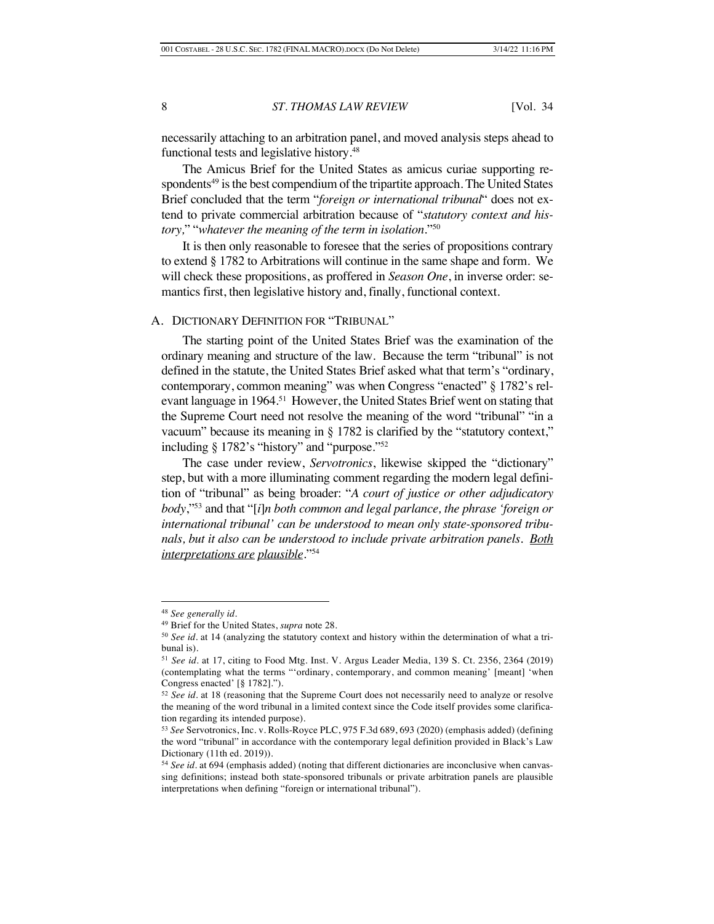necessarily attaching to an arbitration panel, and moved analysis steps ahead to functional tests and legislative history.<sup>48</sup>

The Amicus Brief for the United States as amicus curiae supporting respondents<sup>49</sup> is the best compendium of the tripartite approach. The United States Brief concluded that the term "*foreign or international tribunal*" does not extend to private commercial arbitration because of "*statutory context and history,*" "*whatever the meaning of the term in isolation*."50

It is then only reasonable to foresee that the series of propositions contrary to extend § 1782 to Arbitrations will continue in the same shape and form. We will check these propositions, as proffered in *Season One*, in inverse order: semantics first, then legislative history and, finally, functional context.

# A. DICTIONARY DEFINITION FOR "TRIBUNAL"

The starting point of the United States Brief was the examination of the ordinary meaning and structure of the law. Because the term "tribunal" is not defined in the statute, the United States Brief asked what that term's "ordinary, contemporary, common meaning" was when Congress "enacted" § 1782's relevant language in 1964.<sup>51</sup> However, the United States Brief went on stating that the Supreme Court need not resolve the meaning of the word "tribunal" "in a vacuum" because its meaning in § 1782 is clarified by the "statutory context," including § 1782's "history" and "purpose."52

The case under review, *Servotronics*, likewise skipped the "dictionary" step, but with a more illuminating comment regarding the modern legal definition of "tribunal" as being broader: "*A court of justice or other adjudicatory body*,"53 and that "[*i*]*n both common and legal parlance, the phrase 'foreign or international tribunal' can be understood to mean only state-sponsored tribunals, but it also can be understood to include private arbitration panels. Both interpretations are plausible*."54

<sup>48</sup> *See generally id.* 

<sup>49</sup> Brief for the United States, *supra* note 28.

<sup>50</sup> *See id.* at 14 (analyzing the statutory context and history within the determination of what a tribunal is).

<sup>51</sup> *See id.* at 17, citing to Food Mtg. Inst. V. Argus Leader Media, 139 S. Ct. 2356, 2364 (2019) (contemplating what the terms "'ordinary, contemporary, and common meaning' [meant] 'when Congress enacted' [§ 1782].").

<sup>52</sup> *See id.* at 18 (reasoning that the Supreme Court does not necessarily need to analyze or resolve the meaning of the word tribunal in a limited context since the Code itself provides some clarification regarding its intended purpose).

<sup>53</sup> *See* Servotronics, Inc. v. Rolls-Royce PLC, 975 F.3d 689, 693 (2020) (emphasis added) (defining the word "tribunal" in accordance with the contemporary legal definition provided in Black's Law Dictionary (11th ed. 2019)).

<sup>54</sup> *See id.* at 694 (emphasis added) (noting that different dictionaries are inconclusive when canvassing definitions; instead both state-sponsored tribunals or private arbitration panels are plausible interpretations when defining "foreign or international tribunal").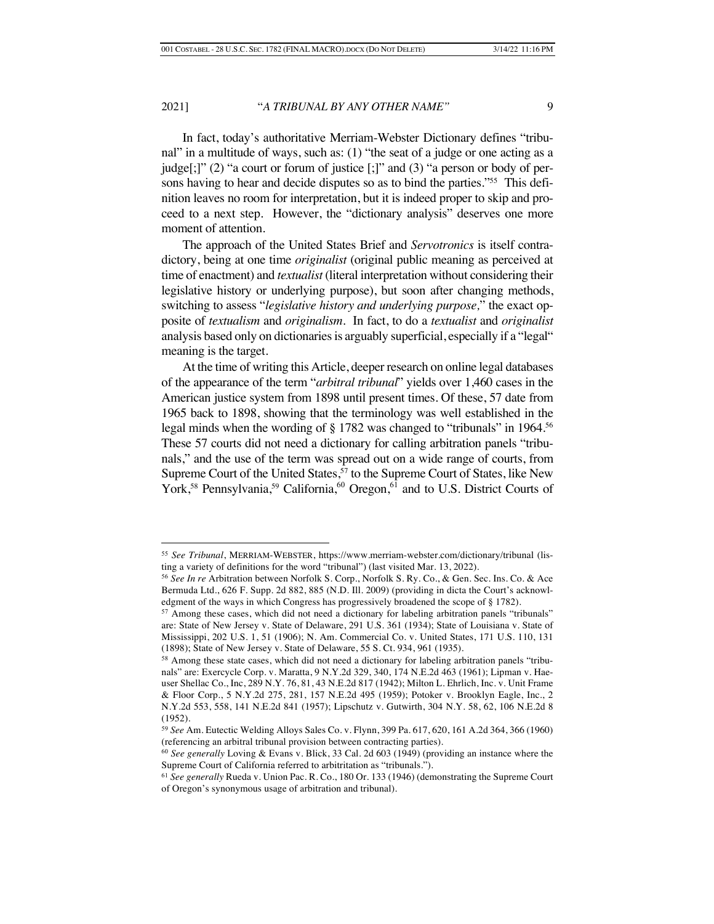In fact, today's authoritative Merriam-Webster Dictionary defines "tribunal" in a multitude of ways, such as: (1) "the seat of a judge or one acting as a judge[;]" (2) "a court or forum of justice [;]" and (3) "a person or body of persons having to hear and decide disputes so as to bind the parties*.*"55 This definition leaves no room for interpretation, but it is indeed proper to skip and proceed to a next step. However, the "dictionary analysis" deserves one more moment of attention.

The approach of the United States Brief and *Servotronics* is itself contradictory, being at one time *originalist* (original public meaning as perceived at time of enactment) and *textualist* (literal interpretation without considering their legislative history or underlying purpose), but soon after changing methods, switching to assess "*legislative history and underlying purpose,*" the exact opposite of *textualism* and *originalism*. In fact, to do a *textualist* and *originalist*  analysis based only on dictionaries is arguably superficial, especially if a "legal" meaning is the target.

At the time of writing this Article, deeper research on online legal databases of the appearance of the term "*arbitral tribunal*" yields over 1,460 cases in the American justice system from 1898 until present times. Of these, 57 date from 1965 back to 1898, showing that the terminology was well established in the legal minds when the wording of § 1782 was changed to "tribunals" in 1964.<sup>56</sup> These 57 courts did not need a dictionary for calling arbitration panels "tribunals," and the use of the term was spread out on a wide range of courts, from Supreme Court of the United States,<sup>57</sup> to the Supreme Court of States, like New York,<sup>58</sup> Pennsylvania,<sup>59</sup> California,<sup>60</sup> Oregon,<sup>61</sup> and to U.S. District Courts of

<sup>55</sup> *See Tribunal*, MERRIAM-WEBSTER, https://www.merriam-webster.com/dictionary/tribunal (listing a variety of definitions for the word "tribunal") (last visited Mar. 13, 2022).

<sup>56</sup> *See In re* Arbitration between Norfolk S. Corp., Norfolk S. Ry. Co., & Gen. Sec. Ins. Co. & Ace Bermuda Ltd., 626 F. Supp. 2d 882, 885 (N.D. Ill. 2009) (providing in dicta the Court's acknowledgment of the ways in which Congress has progressively broadened the scope of § 1782).

<sup>&</sup>lt;sup>57</sup> Among these cases, which did not need a dictionary for labeling arbitration panels "tribunals" are: State of New Jersey v. State of Delaware, 291 U.S. 361 (1934); State of Louisiana v. State of Mississippi, 202 U.S. 1, 51 (1906); N. Am. Commercial Co. v. United States, 171 U.S. 110, 131 (1898); State of New Jersey v. State of Delaware, 55 S. Ct. 934, 961 (1935).

<sup>58</sup> Among these state cases, which did not need a dictionary for labeling arbitration panels "tribunals" are: Exercycle Corp. v. Maratta, 9 N.Y.2d 329, 340, 174 N.E.2d 463 (1961); Lipman v. Haeuser Shellac Co., Inc, 289 N.Y. 76, 81, 43 N.E.2d 817 (1942); Milton L. Ehrlich, Inc. v. Unit Frame & Floor Corp., 5 N.Y.2d 275, 281, 157 N.E.2d 495 (1959); Potoker v. Brooklyn Eagle, Inc., 2 N.Y.2d 553, 558, 141 N.E.2d 841 (1957); Lipschutz v. Gutwirth, 304 N.Y. 58, 62, 106 N.E.2d 8 (1952).

<sup>59</sup> *See* Am. Eutectic Welding Alloys Sales Co. v. Flynn, 399 Pa. 617, 620, 161 A.2d 364, 366 (1960) (referencing an arbitral tribunal provision between contracting parties).

<sup>60</sup> *See generally* Loving & Evans v. Blick, 33 Cal. 2d 603 (1949) (providing an instance where the Supreme Court of California referred to arbitritation as "tribunals.").

<sup>61</sup> *See generally* Rueda v. Union Pac. R. Co., 180 Or. 133 (1946) (demonstrating the Supreme Court of Oregon's synonymous usage of arbitration and tribunal).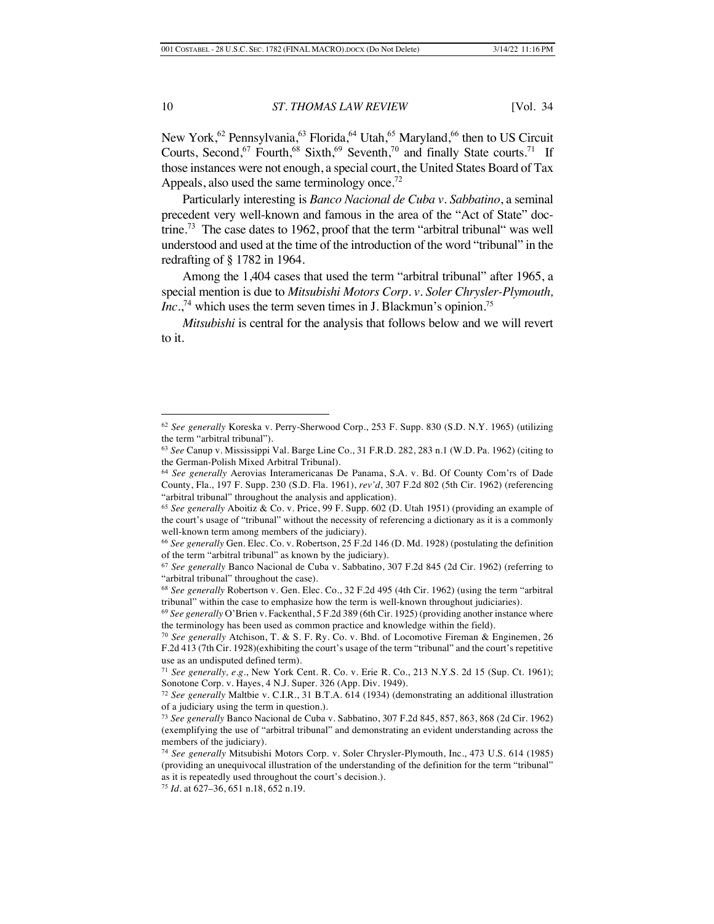New York,<sup>62</sup> Pennsylvania,<sup>63</sup> Florida,<sup>64</sup> Utah,<sup>65</sup> Maryland,<sup>66</sup> then to US Circuit Courts, Second,  $67$  Fourth,  $68$  Sixth,  $69$  Seventh,  $70$  and finally State courts. <sup>71</sup> If those instances were not enough, a special court, the United States Board of Tax Appeals, also used the same terminology once.<sup>72</sup>

Particularly interesting is *Banco Nacional de Cuba v. Sabbatino*, a seminal precedent very well-known and famous in the area of the "Act of State" doctrine.<sup>73</sup> The case dates to 1962, proof that the term "arbitral tribunal" was well understood and used at the time of the introduction of the word "tribunal" in the redrafting of § 1782 in 1964.

Among the 1,404 cases that used the term "arbitral tribunal" after 1965, a special mention is due to *Mitsubishi Motors Corp. v. Soler Chrysler-Plymouth, Inc*.,<sup>74</sup> which uses the term seven times in J. Blackmun's opinion.<sup>75</sup>

*Mitsubishi* is central for the analysis that follows below and we will revert to it.

<sup>62</sup> *See generally* Koreska v. Perry-Sherwood Corp., 253 F. Supp. 830 (S.D. N.Y. 1965) (utilizing the term "arbitral tribunal").

<sup>63</sup> *See* Canup v. Mississippi Val. Barge Line Co., 31 F.R.D. 282, 283 n.1 (W.D. Pa. 1962) (citing to the German-Polish Mixed Arbitral Tribunal).

<sup>64</sup> *See generally* Aerovias Interamericanas De Panama, S.A. v. Bd. Of County Com'rs of Dade County, Fla., 197 F. Supp. 230 (S.D. Fla. 1961), *rev'd*, 307 F.2d 802 (5th Cir. 1962) (referencing "arbitral tribunal" throughout the analysis and application).

<sup>65</sup> *See generally* Aboitiz & Co. v. Price, 99 F. Supp. 602 (D. Utah 1951) (providing an example of the court's usage of "tribunal" without the necessity of referencing a dictionary as it is a commonly well-known term among members of the judiciary).

<sup>66</sup> *See generally* Gen. Elec. Co. v. Robertson, 25 F.2d 146 (D. Md. 1928) (postulating the definition of the term "arbitral tribunal" as known by the judiciary).

<sup>67</sup> *See generally* Banco Nacional de Cuba v. Sabbatino, 307 F.2d 845 (2d Cir. 1962) (referring to "arbitral tribunal" throughout the case).

<sup>68</sup> *See generally* Robertson v. Gen. Elec. Co., 32 F.2d 495 (4th Cir. 1962) (using the term "arbitral tribunal" within the case to emphasize how the term is well-known throughout judiciaries).

<sup>69</sup> *See generally* O'Brien v. Fackenthal, 5 F.2d 389 (6th Cir. 1925) (providing another instance where the terminology has been used as common practice and knowledge within the field).

<sup>70</sup> *See generally* Atchison, T. & S. F. Ry. Co. v. Bhd. of Locomotive Fireman & Enginemen, 26 F.2d 413 (7th Cir. 1928)(exhibiting the court's usage of the term "tribunal" and the court's repetitive use as an undisputed defined term).

<sup>71</sup> *See generally, e.g.*, New York Cent. R. Co. v. Erie R. Co., 213 N.Y.S. 2d 15 (Sup. Ct. 1961); Sonotone Corp. v. Hayes, 4 N.J. Super. 326 (App. Div. 1949).

<sup>72</sup> *See generally* Maltbie v. C.I.R., 31 B.T.A. 614 (1934) (demonstrating an additional illustration of a judiciary using the term in question.).

<sup>73</sup> *See generally* Banco Nacional de Cuba v. Sabbatino, 307 F.2d 845, 857, 863, 868 (2d Cir. 1962) (exemplifying the use of "arbitral tribunal" and demonstrating an evident understanding across the members of the judiciary).

<sup>74</sup> *See generally* Mitsubishi Motors Corp. v. Soler Chrysler-Plymouth, Inc., 473 U.S. 614 (1985) (providing an unequivocal illustration of the understanding of the definition for the term "tribunal" as it is repeatedly used throughout the court's decision.).

<sup>75</sup> *Id.* at 627–36, 651 n.18, 652 n.19.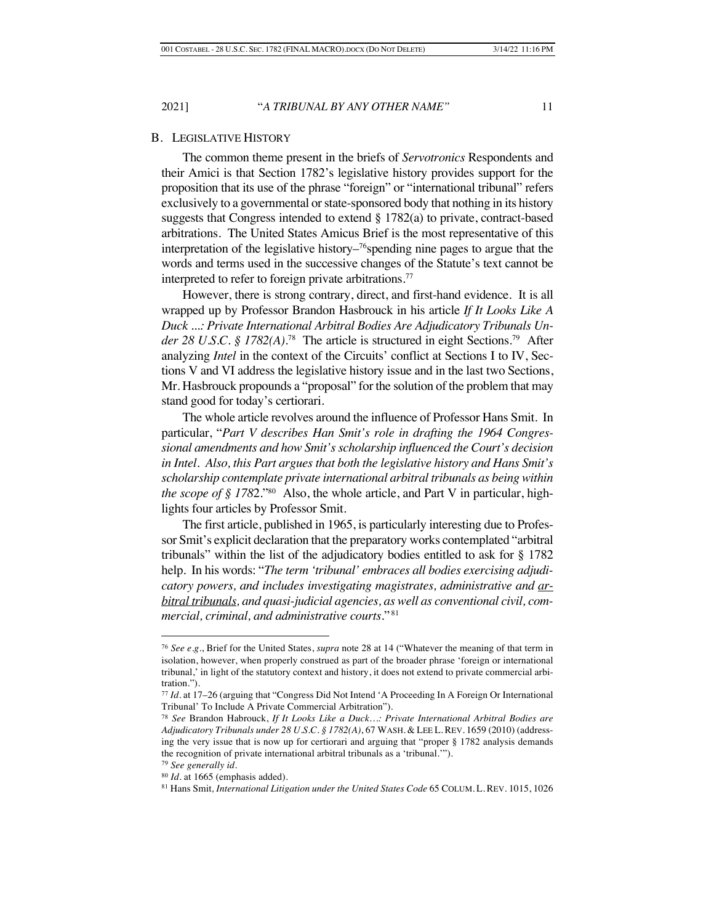#### B. LEGISLATIVE HISTORY

The common theme present in the briefs of *Servotronics* Respondents and their Amici is that Section 1782's legislative history provides support for the proposition that its use of the phrase "foreign" or "international tribunal" refers exclusively to a governmental or state-sponsored body that nothing in its history suggests that Congress intended to extend § 1782(a) to private, contract-based arbitrations. The United States Amicus Brief is the most representative of this interpretation of the legislative history– $76$  spending nine pages to argue that the words and terms used in the successive changes of the Statute's text cannot be interpreted to refer to foreign private arbitrations.<sup>77</sup>

However, there is strong contrary, direct, and first-hand evidence. It is all wrapped up by Professor Brandon Hasbrouck in his article *If It Looks Like A Duck ...: Private International Arbitral Bodies Are Adjudicatory Tribunals Under 28 U.S.C. § 1782(A).*78 The article is structured in eight Sections.79 After analyzing *Intel* in the context of the Circuits' conflict at Sections I to IV, Sections V and VI address the legislative history issue and in the last two Sections, Mr. Hasbrouck propounds a "proposal" for the solution of the problem that may stand good for today's certiorari.

The whole article revolves around the influence of Professor Hans Smit. In particular, "*Part V describes Han Smit's role in drafting the 1964 Congressional amendments and how Smit's scholarship influenced the Court's decision in Intel. Also, this Part argues that both the legislative history and Hans Smit's scholarship contemplate private international arbitral tribunals as being within the scope of § 178*2."80 Also, the whole article, and Part V in particular, highlights four articles by Professor Smit.

The first article, published in 1965, is particularly interesting due to Professor Smit's explicit declaration that the preparatory works contemplated "arbitral tribunals" within the list of the adjudicatory bodies entitled to ask for § 1782 help. In his words: "*The term 'tribunal' embraces all bodies exercising adjudicatory powers, and includes investigating magistrates, administrative and arbitral tribunals, and quasi-judicial agencies, as well as conventional civil, commercial, criminal, and administrative courts.*" 81

<sup>76</sup> *See e.g.*, Brief for the United States, *supra* note 28 at 14 ("Whatever the meaning of that term in isolation, however, when properly construed as part of the broader phrase 'foreign or international tribunal,' in light of the statutory context and history, it does not extend to private commercial arbitration.").

<sup>77</sup> *Id.* at 17–26 (arguing that "Congress Did Not Intend 'A Proceeding In A Foreign Or International Tribunal' To Include A Private Commercial Arbitration").

<sup>78</sup> *See* Brandon Habrouck, *If It Looks Like a Duck…: Private International Arbitral Bodies are Adjudicatory Tribunals under 28 U.S.C. § 1782(A)*, 67 WASH. & LEE L. REV. 1659 (2010) (addressing the very issue that is now up for certiorari and arguing that "proper § 1782 analysis demands the recognition of private international arbitral tribunals as a 'tribunal.'").

<sup>79</sup> *See generally id.*

<sup>80</sup> *Id.* at 1665 (emphasis added).

<sup>81</sup> Hans Smit*, International Litigation under the United States Code* 65 COLUM. L. REV. 1015, 1026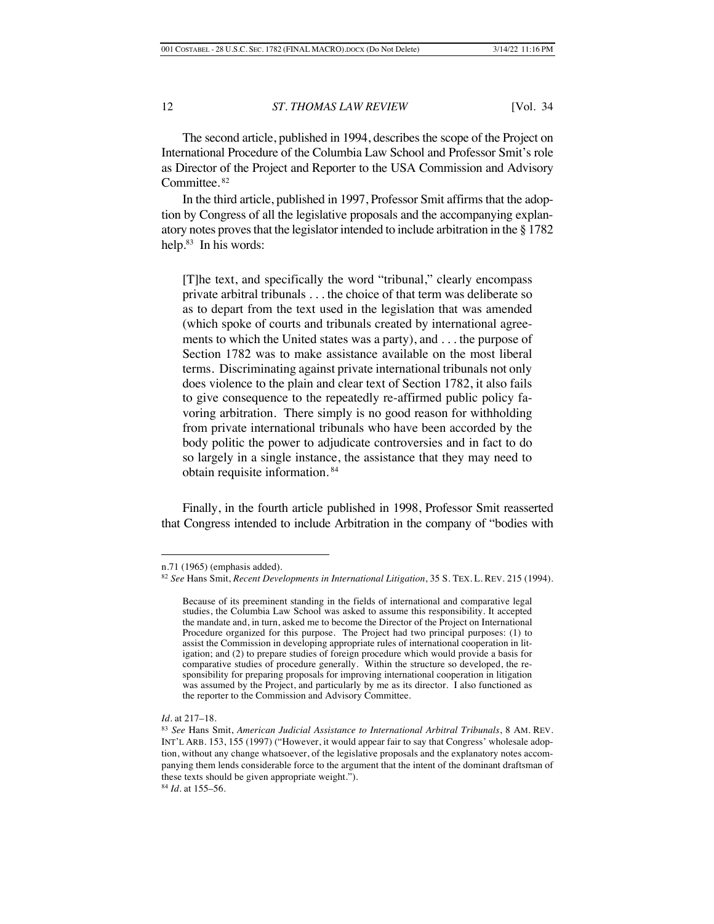The second article, published in 1994, describes the scope of the Project on International Procedure of the Columbia Law School and Professor Smit's role as Director of the Project and Reporter to the USA Commission and Advisory Committee.<sup>82</sup>

In the third article, published in 1997, Professor Smit affirms that the adoption by Congress of all the legislative proposals and the accompanying explanatory notes proves that the legislator intended to include arbitration in the § 1782 help.83 In his words:

[T]he text, and specifically the word "tribunal," clearly encompass private arbitral tribunals . . . the choice of that term was deliberate so as to depart from the text used in the legislation that was amended (which spoke of courts and tribunals created by international agreements to which the United states was a party), and . . . the purpose of Section 1782 was to make assistance available on the most liberal terms. Discriminating against private international tribunals not only does violence to the plain and clear text of Section 1782, it also fails to give consequence to the repeatedly re-affirmed public policy favoring arbitration. There simply is no good reason for withholding from private international tribunals who have been accorded by the body politic the power to adjudicate controversies and in fact to do so largely in a single instance, the assistance that they may need to obtain requisite information. <sup>84</sup>

Finally, in the fourth article published in 1998, Professor Smit reasserted that Congress intended to include Arbitration in the company of "bodies with

n.71 (1965) (emphasis added).

<sup>82</sup> *See* Hans Smit, *Recent Developments in International Litigation*, 35 S. TEX. L. REV. 215 (1994).

Because of its preeminent standing in the fields of international and comparative legal studies, the Columbia Law School was asked to assume this responsibility. It accepted the mandate and, in turn, asked me to become the Director of the Project on International Procedure organized for this purpose. The Project had two principal purposes: (1) to assist the Commission in developing appropriate rules of international cooperation in litigation; and (2) to prepare studies of foreign procedure which would provide a basis for comparative studies of procedure generally. Within the structure so developed, the responsibility for preparing proposals for improving international cooperation in litigation was assumed by the Project, and particularly by me as its director. I also functioned as the reporter to the Commission and Advisory Committee.

*Id.* at 217–18.

<sup>83</sup> *See* Hans Smit, *American Judicial Assistance to International Arbitral Tribunals*, 8 AM. REV. INT'L ARB. 153, 155 (1997) ("However, it would appear fair to say that Congress' wholesale adoption, without any change whatsoever, of the legislative proposals and the explanatory notes accompanying them lends considerable force to the argument that the intent of the dominant draftsman of these texts should be given appropriate weight.").

<sup>84</sup> *Id.* at 155–56.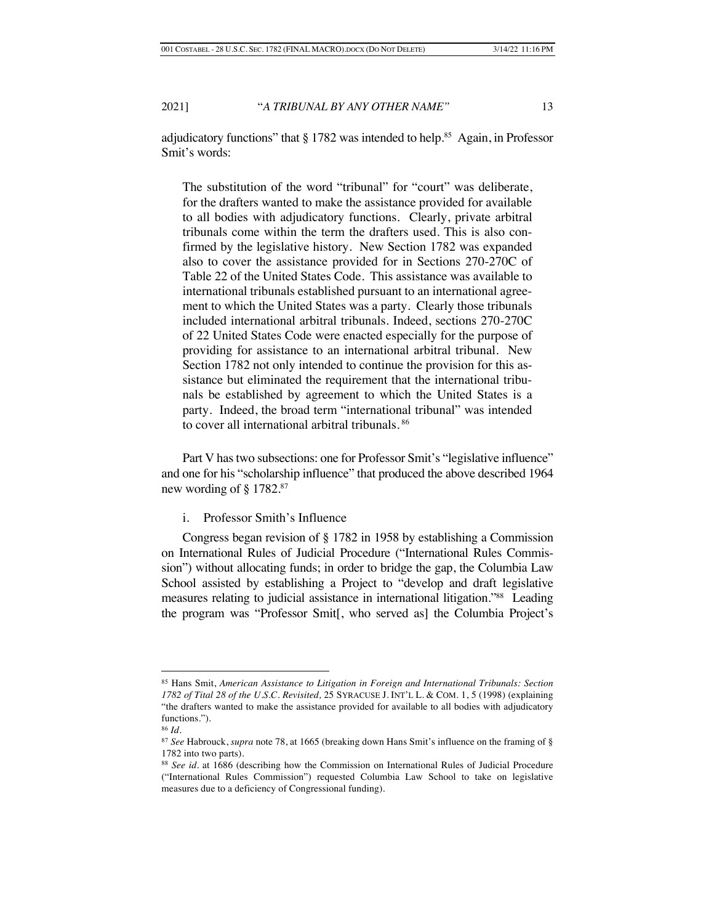adjudicatory functions" that  $\S 1782$  was intended to help.<sup>85</sup> Again, in Professor Smit's words:

The substitution of the word "tribunal" for "court" was deliberate, for the drafters wanted to make the assistance provided for available to all bodies with adjudicatory functions. Clearly, private arbitral tribunals come within the term the drafters used. This is also confirmed by the legislative history. New Section 1782 was expanded also to cover the assistance provided for in Sections 270-270C of Table 22 of the United States Code. This assistance was available to international tribunals established pursuant to an international agreement to which the United States was a party. Clearly those tribunals included international arbitral tribunals. Indeed, sections 270-270C of 22 United States Code were enacted especially for the purpose of providing for assistance to an international arbitral tribunal. New Section 1782 not only intended to continue the provision for this assistance but eliminated the requirement that the international tribunals be established by agreement to which the United States is a party. Indeed, the broad term "international tribunal" was intended to cover all international arbitral tribunals. <sup>86</sup>

Part V has two subsections: one for Professor Smit's "legislative influence" and one for his "scholarship influence" that produced the above described 1964 new wording of  $\S 1782$ .<sup>87</sup>

i. Professor Smith's Influence

Congress began revision of § 1782 in 1958 by establishing a Commission on International Rules of Judicial Procedure ("International Rules Commission") without allocating funds; in order to bridge the gap, the Columbia Law School assisted by establishing a Project to "develop and draft legislative measures relating to judicial assistance in international litigation."88 Leading the program was "Professor Smit[, who served as] the Columbia Project's

<sup>85</sup> Hans Smit, *American Assistance to Litigation in Foreign and International Tribunals: Section 1782 of Tital 28 of the U.S.C. Revisited,* 25 SYRACUSE J. INT'L L. & COM. 1, 5 (1998) (explaining "the drafters wanted to make the assistance provided for available to all bodies with adjudicatory functions.").

<sup>86</sup> *Id.*

<sup>87</sup> *See* Habrouck, *supra* note 78, at 1665 (breaking down Hans Smit's influence on the framing of § 1782 into two parts).

<sup>88</sup> *See id.* at 1686 (describing how the Commission on International Rules of Judicial Procedure ("International Rules Commission") requested Columbia Law School to take on legislative measures due to a deficiency of Congressional funding).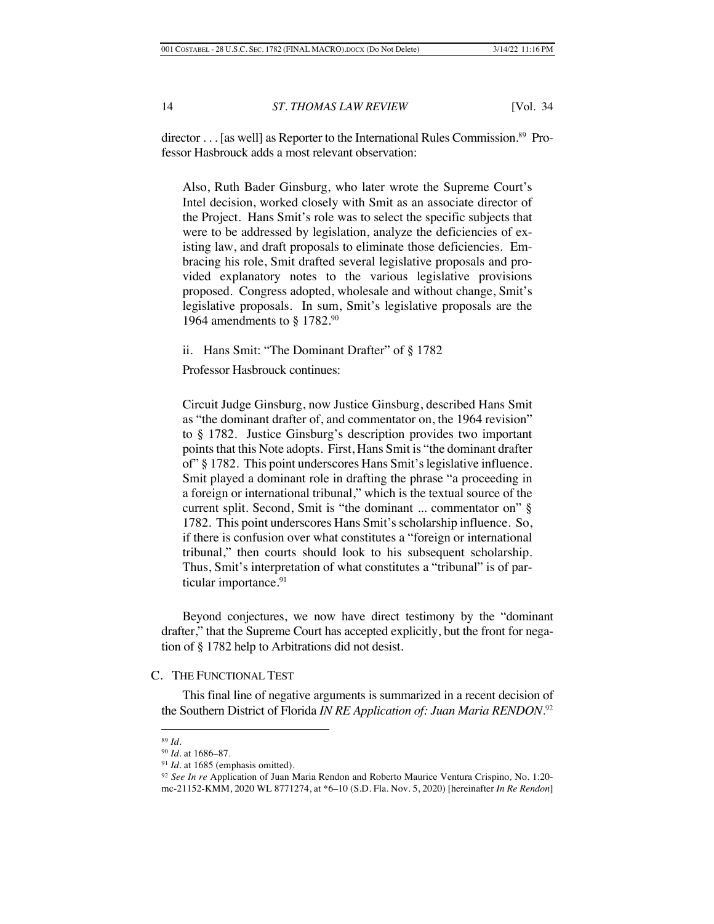director . . . [as well] as Reporter to the International Rules Commission.<sup>89</sup> Professor Hasbrouck adds a most relevant observation:

Also, Ruth Bader Ginsburg, who later wrote the Supreme Court's Intel decision, worked closely with Smit as an associate director of the Project. Hans Smit's role was to select the specific subjects that were to be addressed by legislation, analyze the deficiencies of existing law, and draft proposals to eliminate those deficiencies. Embracing his role, Smit drafted several legislative proposals and provided explanatory notes to the various legislative provisions proposed. Congress adopted, wholesale and without change, Smit's legislative proposals. In sum, Smit's legislative proposals are the 1964 amendments to § 1782.90

ii. Hans Smit: "The Dominant Drafter" of § 1782

Professor Hasbrouck continues:

Circuit Judge Ginsburg, now Justice Ginsburg, described Hans Smit as "the dominant drafter of, and commentator on, the 1964 revision" to § 1782. Justice Ginsburg's description provides two important points that this Note adopts. First, Hans Smit is "the dominant drafter of" § 1782. This point underscores Hans Smit's legislative influence. Smit played a dominant role in drafting the phrase "a proceeding in a foreign or international tribunal," which is the textual source of the current split. Second, Smit is "the dominant ... commentator on" § 1782. This point underscores Hans Smit's scholarship influence. So, if there is confusion over what constitutes a "foreign or international tribunal," then courts should look to his subsequent scholarship. Thus, Smit's interpretation of what constitutes a "tribunal" is of particular importance.<sup>91</sup>

Beyond conjectures, we now have direct testimony by the "dominant drafter," that the Supreme Court has accepted explicitly, but the front for negation of § 1782 help to Arbitrations did not desist.

# C. THE FUNCTIONAL TEST

This final line of negative arguments is summarized in a recent decision of the Southern District of Florida *IN RE Application of: Juan Maria RENDON*. 92

<sup>89</sup> *Id.*

<sup>90</sup> *Id.* at 1686–87.

<sup>&</sup>lt;sup>91</sup> *Id.* at 1685 (emphasis omitted).

<sup>92</sup> *See In re* Application of Juan Maria Rendon and Roberto Maurice Ventura Crispino*,* No. 1:20 mc-21152-KMM, 2020 WL 8771274, at \*6–10 (S.D. Fla. Nov. 5, 2020) [hereinafter *In Re Rendon*]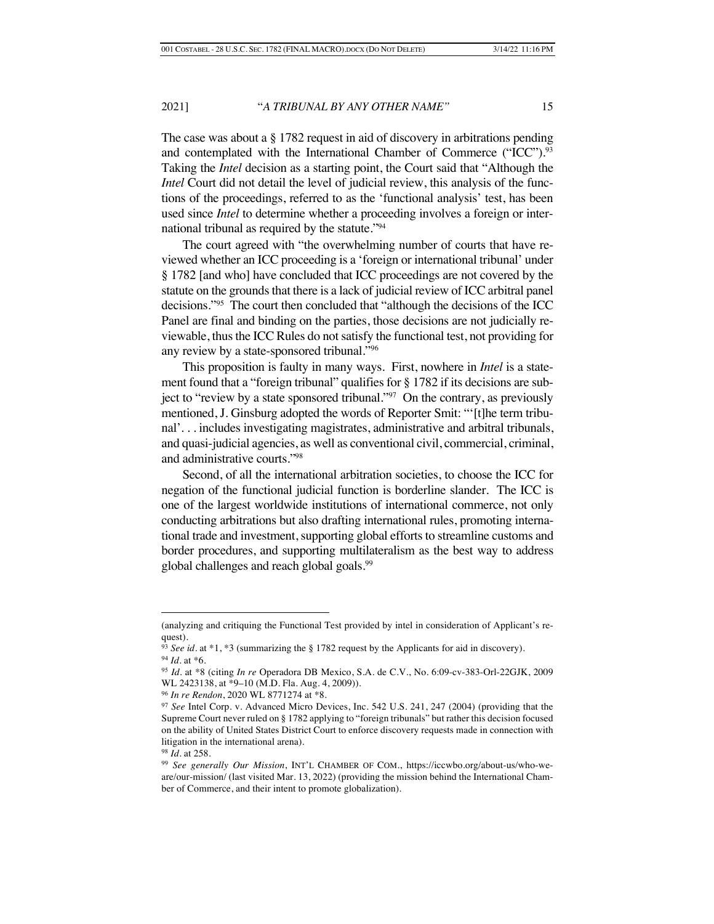The case was about a § 1782 request in aid of discovery in arbitrations pending and contemplated with the International Chamber of Commerce ("ICC").<sup>93</sup> Taking the *Intel* decision as a starting point, the Court said that "Although the *Intel* Court did not detail the level of judicial review, this analysis of the functions of the proceedings, referred to as the 'functional analysis' test, has been used since *Intel* to determine whether a proceeding involves a foreign or international tribunal as required by the statute."94

The court agreed with "the overwhelming number of courts that have reviewed whether an ICC proceeding is a 'foreign or international tribunal' under § 1782 [and who] have concluded that ICC proceedings are not covered by the statute on the grounds that there is a lack of judicial review of ICC arbitral panel decisions."95 The court then concluded that "although the decisions of the ICC Panel are final and binding on the parties, those decisions are not judicially reviewable, thus the ICC Rules do not satisfy the functional test, not providing for any review by a state-sponsored tribunal."<sup>96</sup>

This proposition is faulty in many ways. First, nowhere in *Intel* is a statement found that a "foreign tribunal" qualifies for § 1782 if its decisions are subject to "review by a state sponsored tribunal." $97$  On the contrary, as previously mentioned, J. Ginsburg adopted the words of Reporter Smit: "'[t]he term tribunal'. . . includes investigating magistrates, administrative and arbitral tribunals, and quasi-judicial agencies, as well as conventional civil, commercial, criminal, and administrative courts."98

Second, of all the international arbitration societies, to choose the ICC for negation of the functional judicial function is borderline slander. The ICC is one of the largest worldwide institutions of international commerce, not only conducting arbitrations but also drafting international rules, promoting international trade and investment, supporting global efforts to streamline customs and border procedures, and supporting multilateralism as the best way to address global challenges and reach global goals.<sup>99</sup>

<sup>(</sup>analyzing and critiquing the Functional Test provided by intel in consideration of Applicant's request).

<sup>93</sup> *See id.* at \*1, \*3 (summarizing the § 1782 request by the Applicants for aid in discovery). <sup>94</sup> *Id.* at \*6.

<sup>95</sup> *Id.* at \*8 (citing *In re* Operadora DB Mexico, S.A. de C.V., No. 6:09-cv-383-Orl-22GJK, 2009 WL 2423138, at \*9–10 (M.D. Fla. Aug. 4, 2009)).

<sup>96</sup> *In re Rendon*, 2020 WL 8771274 at \*8.

<sup>97</sup> *See* Intel Corp. v. Advanced Micro Devices, Inc. 542 U.S. 241, 247 (2004) (providing that the Supreme Court never ruled on § 1782 applying to "foreign tribunals" but rather this decision focused on the ability of United States District Court to enforce discovery requests made in connection with litigation in the international arena).

<sup>98</sup> *Id*. at 258.

<sup>99</sup> *See generally Our Mission*, INT'L CHAMBER OF COM., https://iccwbo.org/about-us/who-weare/our-mission/ (last visited Mar. 13, 2022) (providing the mission behind the International Chamber of Commerce, and their intent to promote globalization).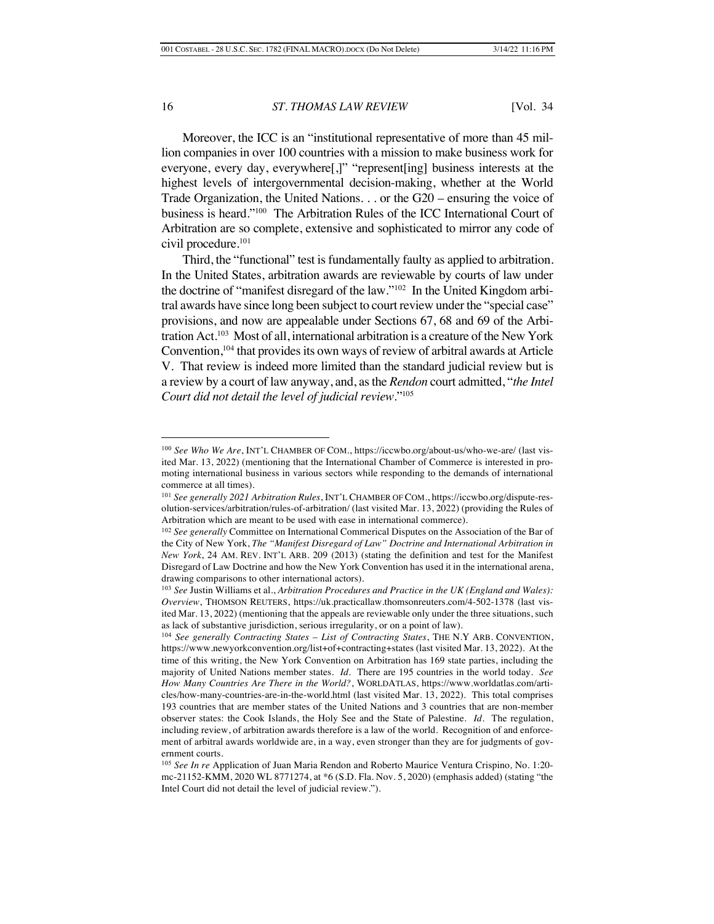Moreover, the ICC is an "institutional representative of more than 45 million companies in over 100 countries with a mission to make business work for everyone, every day, everywhere[,]" "represent[ing] business interests at the highest levels of intergovernmental decision-making, whether at the World Trade Organization, the United Nations. . . or the G20 – ensuring the voice of business is heard."100 The Arbitration Rules of the ICC International Court of Arbitration are so complete, extensive and sophisticated to mirror any code of civil procedure.<sup>101</sup>

Third, the "functional" test is fundamentally faulty as applied to arbitration. In the United States, arbitration awards are reviewable by courts of law under the doctrine of "manifest disregard of the law."102 In the United Kingdom arbitral awards have since long been subject to court review under the "special case" provisions, and now are appealable under Sections 67, 68 and 69 of the Arbitration Act.103 Most of all, international arbitration is a creature of the New York Convention,<sup>104</sup> that provides its own ways of review of arbitral awards at Article V. That review is indeed more limited than the standard judicial review but is a review by a court of law anyway, and, as the *Rendon* court admitted, "*the Intel Court did not detail the level of judicial review*."105

<sup>100</sup> *See Who We Are*, INT'L CHAMBER OF COM., https://iccwbo.org/about-us/who-we-are/ (last visited Mar. 13, 2022) (mentioning that the International Chamber of Commerce is interested in promoting international business in various sectors while responding to the demands of international commerce at all times).

<sup>101</sup> *See generally 2021 Arbitration Rules*, INT'L CHAMBER OF COM., https://iccwbo.org/dispute-resolution-services/arbitration/rules-of-arbitration/ (last visited Mar. 13, 2022) (providing the Rules of Arbitration which are meant to be used with ease in international commerce).

<sup>102</sup> *See generally* Committee on International Commerical Disputes on the Association of the Bar of the City of New York, *The "Manifest Disregard of Law" Doctrine and International Arbitration in New York*, 24 AM. REV. INT'L ARB. 209 (2013) (stating the definition and test for the Manifest Disregard of Law Doctrine and how the New York Convention has used it in the international arena, drawing comparisons to other international actors).

<sup>103</sup> *See* Justin Williams et al., *Arbitration Procedures and Practice in the UK (England and Wales): Overview*, THOMSON REUTERS, https://uk.practicallaw.thomsonreuters.com/4-502-1378 (last visited Mar. 13, 2022) (mentioning that the appeals are reviewable only under the three situations, such as lack of substantive jurisdiction, serious irregularity, or on a point of law).

<sup>104</sup> *See generally Contracting States – List of Contracting States*, THE N.Y ARB. CONVENTION, https://www.newyorkconvention.org/list+of+contracting+states (last visited Mar. 13, 2022). At the time of this writing, the New York Convention on Arbitration has 169 state parties, including the majority of United Nations member states. *Id.* There are 195 countries in the world today. *See How Many Countries Are There in the World?*, WORLDATLAS, https://www.worldatlas.com/articles/how-many-countries-are-in-the-world.html (last visited Mar. 13, 2022). This total comprises 193 countries that are member states of the United Nations and 3 countries that are non-member observer states: the Cook Islands, the Holy See and the State of Palestine. *Id.* The regulation, including review, of arbitration awards therefore is a law of the world. Recognition of and enforcement of arbitral awards worldwide are, in a way, even stronger than they are for judgments of government courts.

<sup>105</sup> *See In re* Application of Juan Maria Rendon and Roberto Maurice Ventura Crispino*,* No. 1:20 mc-21152-KMM, 2020 WL 8771274, at \*6 (S.D. Fla. Nov. 5, 2020) (emphasis added) (stating "the Intel Court did not detail the level of judicial review.").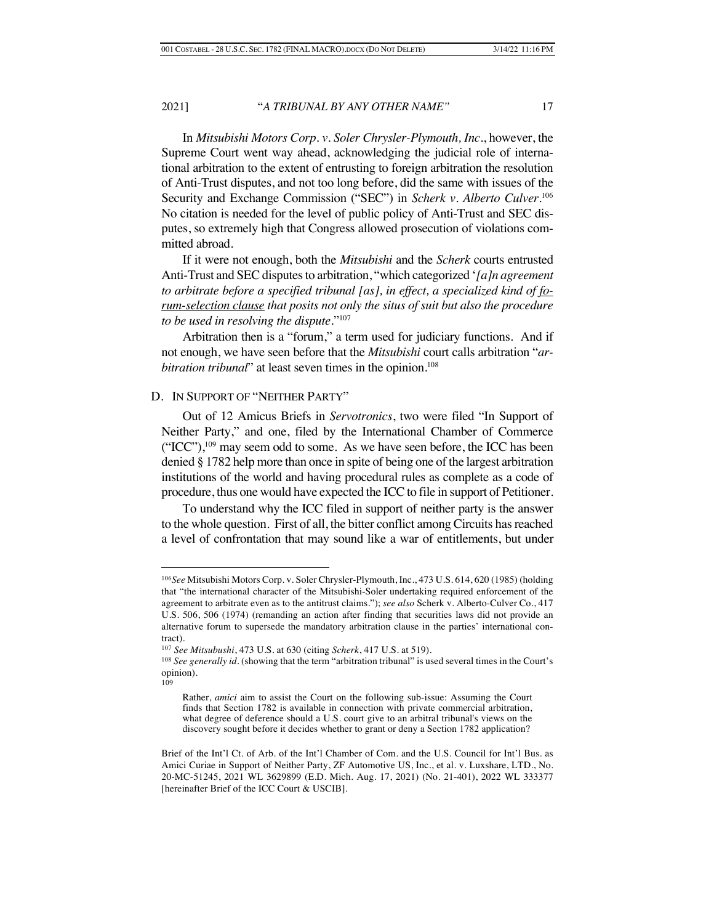In *Mitsubishi Motors Corp. v. Soler Chrysler-Plymouth, Inc*., however, the Supreme Court went way ahead, acknowledging the judicial role of international arbitration to the extent of entrusting to foreign arbitration the resolution of Anti-Trust disputes, and not too long before, did the same with issues of the Security and Exchange Commission ("SEC") in *Scherk v. Alberto Culver*. 106 No citation is needed for the level of public policy of Anti-Trust and SEC disputes, so extremely high that Congress allowed prosecution of violations committed abroad.

If it were not enough, both the *Mitsubishi* and the *Scherk* courts entrusted Anti-Trust and SEC disputes to arbitration, "which categorized '*[a]n agreement to arbitrate before a specified tribunal [as], in effect, a specialized kind of forum-selection clause that posits not only the situs of suit but also the procedure to be used in resolving the dispute*."107

Arbitration then is a "forum," a term used for judiciary functions. And if not enough, we have seen before that the *Mitsubishi* court calls arbitration "*arbitration tribunal*" at least seven times in the opinion.<sup>108</sup>

### D. IN SUPPORT OF "NEITHER PARTY"

Out of 12 Amicus Briefs in *Servotronics*, two were filed "In Support of Neither Party," and one, filed by the International Chamber of Commerce  $("ICC")$ ,  $^{109}$  may seem odd to some. As we have seen before, the ICC has been denied § 1782 help more than once in spite of being one of the largest arbitration institutions of the world and having procedural rules as complete as a code of procedure, thus one would have expected the ICC to file in support of Petitioner.

To understand why the ICC filed in support of neither party is the answer to the whole question. First of all, the bitter conflict among Circuits has reached a level of confrontation that may sound like a war of entitlements, but under

<sup>106</sup>*See* Mitsubishi Motors Corp. v. Soler Chrysler-Plymouth, Inc., 473 U.S. 614, 620 (1985) (holding that "the international character of the Mitsubishi-Soler undertaking required enforcement of the agreement to arbitrate even as to the antitrust claims."); *see also* Scherk v. Alberto-Culver Co., 417 U.S. 506, 506 (1974) (remanding an action after finding that securities laws did not provide an alternative forum to supersede the mandatory arbitration clause in the parties' international contract).

<sup>107</sup> *See Mitsubushi*, 473 U.S. at 630 (citing *Scherk*, 417 U.S. at 519).

<sup>&</sup>lt;sup>108</sup> See generally *id*. (showing that the term "arbitration tribunal" is used several times in the Court's opinion). 109

Rather, *amici* aim to assist the Court on the following sub-issue: Assuming the Court finds that Section 1782 is available in connection with private commercial arbitration, what degree of deference should a U.S. court give to an arbitral tribunal's views on the discovery sought before it decides whether to grant or deny a Section 1782 application?

Brief of the Int'l Ct. of Arb. of the Int'l Chamber of Com. and the U.S. Council for Int'l Bus. as Amici Curiae in Support of Neither Party, ZF Automotive US, Inc., et al. v. Luxshare, LTD., No. 20-MC-51245, 2021 WL 3629899 (E.D. Mich. Aug. 17, 2021) (No. 21-401), 2022 WL 333377 [hereinafter Brief of the ICC Court & USCIB].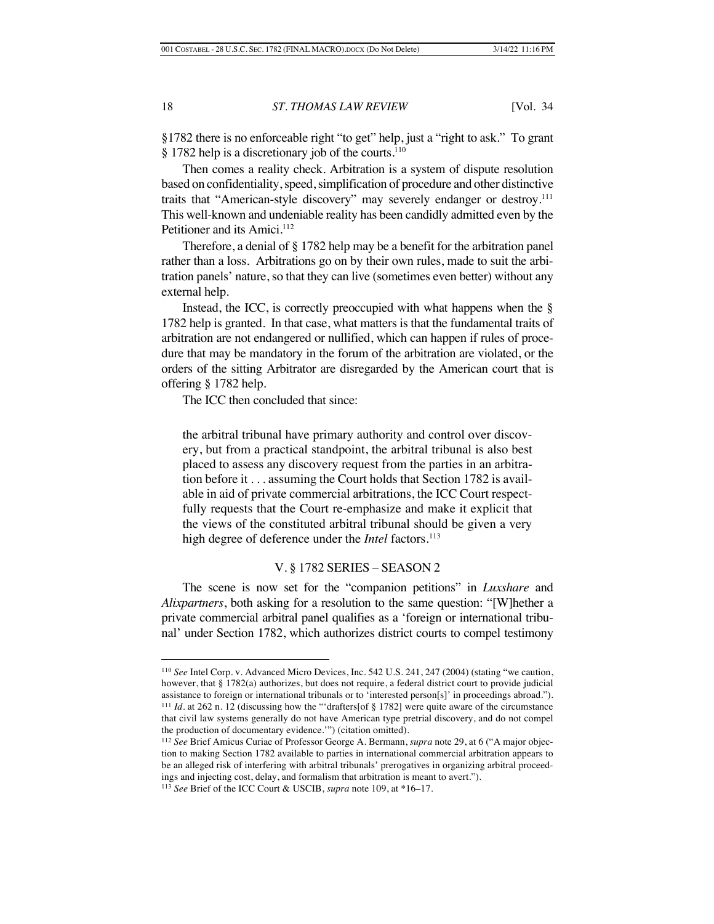§1782 there is no enforceable right "to get" help, just a "right to ask." To grant § 1782 help is a discretionary job of the courts.<sup>110</sup>

Then comes a reality check. Arbitration is a system of dispute resolution based on confidentiality, speed, simplification of procedure and other distinctive traits that "American-style discovery" may severely endanger or destroy.<sup>111</sup> This well-known and undeniable reality has been candidly admitted even by the Petitioner and its Amici.<sup>112</sup>

Therefore, a denial of § 1782 help may be a benefit for the arbitration panel rather than a loss. Arbitrations go on by their own rules, made to suit the arbitration panels' nature, so that they can live (sometimes even better) without any external help.

Instead, the ICC, is correctly preoccupied with what happens when the  $\S$ 1782 help is granted. In that case, what matters is that the fundamental traits of arbitration are not endangered or nullified, which can happen if rules of procedure that may be mandatory in the forum of the arbitration are violated, or the orders of the sitting Arbitrator are disregarded by the American court that is offering § 1782 help.

The ICC then concluded that since:

the arbitral tribunal have primary authority and control over discovery, but from a practical standpoint, the arbitral tribunal is also best placed to assess any discovery request from the parties in an arbitration before it . . . assuming the Court holds that Section 1782 is available in aid of private commercial arbitrations, the ICC Court respectfully requests that the Court re-emphasize and make it explicit that the views of the constituted arbitral tribunal should be given a very high degree of deference under the *Intel* factors*.* 113

# V. § 1782 SERIES – SEASON 2

The scene is now set for the "companion petitions" in *Luxshare* and *Alixpartners*, both asking for a resolution to the same question: "[W]hether a private commercial arbitral panel qualifies as a 'foreign or international tribunal' under Section 1782, which authorizes district courts to compel testimony

<sup>110</sup> *See* Intel Corp. v. Advanced Micro Devices, Inc. 542 U.S. 241, 247 (2004) (stating "we caution, however, that § 1782(a) authorizes, but does not require, a federal district court to provide judicial assistance to foreign or international tribunals or to 'interested person[s]' in proceedings abroad."). <sup>111</sup> *Id*. at 262 n. 12 (discussing how the "'drafters[of § 1782] were quite aware of the circumstance that civil law systems generally do not have American type pretrial discovery, and do not compel the production of documentary evidence.'") (citation omitted).

<sup>112</sup> *See* Brief Amicus Curiae of Professor George A. Bermann, *supra* note 29, at 6 ("A major objection to making Section 1782 available to parties in international commercial arbitration appears to be an alleged risk of interfering with arbitral tribunals' prerogatives in organizing arbitral proceedings and injecting cost, delay, and formalism that arbitration is meant to avert.").

<sup>113</sup> *See* Brief of the ICC Court & USCIB, *supra* note 109, at \*16–17.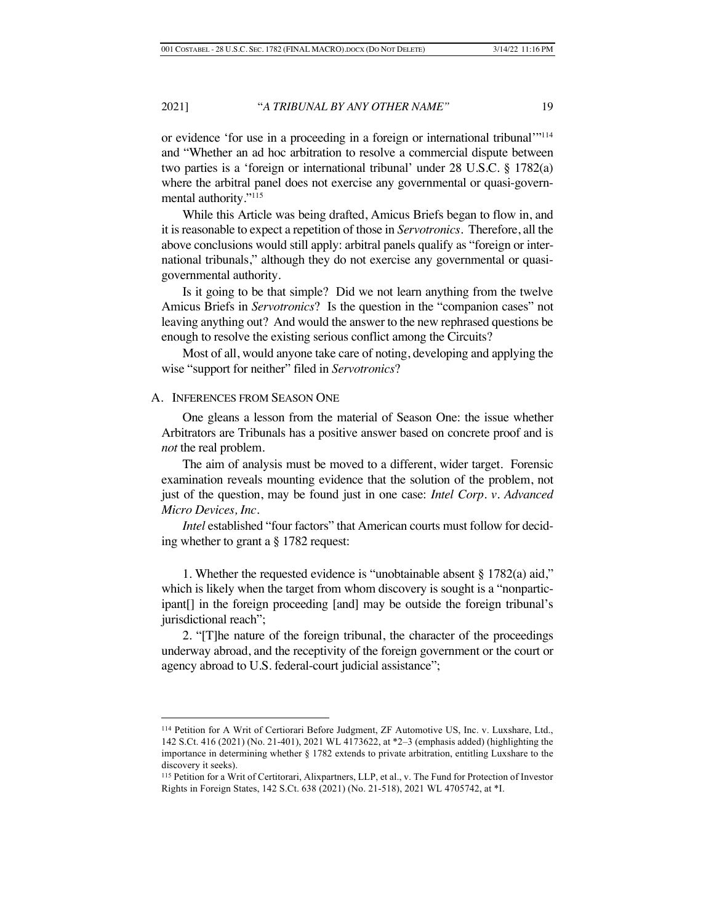or evidence 'for use in a proceeding in a foreign or international tribunal'"114 and "Whether an ad hoc arbitration to resolve a commercial dispute between two parties is a 'foreign or international tribunal' under 28 U.S.C. § 1782(a) where the arbitral panel does not exercise any governmental or quasi-governmental authority."115

While this Article was being drafted, Amicus Briefs began to flow in, and it is reasonable to expect a repetition of those in *Servotronics*. Therefore, all the above conclusions would still apply: arbitral panels qualify as "foreign or international tribunals," although they do not exercise any governmental or quasigovernmental authority.

Is it going to be that simple? Did we not learn anything from the twelve Amicus Briefs in *Servotronics*? Is the question in the "companion cases" not leaving anything out? And would the answer to the new rephrased questions be enough to resolve the existing serious conflict among the Circuits?

Most of all, would anyone take care of noting, developing and applying the wise "support for neither" filed in *Servotronics*?

# A. INFERENCES FROM SEASON ONE

One gleans a lesson from the material of Season One: the issue whether Arbitrators are Tribunals has a positive answer based on concrete proof and is *not* the real problem.

The aim of analysis must be moved to a different, wider target. Forensic examination reveals mounting evidence that the solution of the problem, not just of the question, may be found just in one case: *Intel Corp. v. Advanced Micro Devices, Inc*.

*Intel* established "four factors" that American courts must follow for deciding whether to grant a § 1782 request:

1. Whether the requested evidence is "unobtainable absent § 1782(a) aid," which is likely when the target from whom discovery is sought is a "nonparticipant[] in the foreign proceeding [and] may be outside the foreign tribunal's jurisdictional reach";

2. "[T]he nature of the foreign tribunal, the character of the proceedings underway abroad, and the receptivity of the foreign government or the court or agency abroad to U.S. federal-court judicial assistance";

<sup>114</sup> Petition for A Writ of Certiorari Before Judgment, ZF Automotive US, Inc. v. Luxshare, Ltd., 142 S.Ct. 416 (2021) (No. 21-401), 2021 WL 4173622, at \*2–3 (emphasis added) (highlighting the importance in determining whether § 1782 extends to private arbitration, entitling Luxshare to the discovery it seeks).

<sup>115</sup> Petition for a Writ of Certitorari, Alixpartners, LLP, et al., v. The Fund for Protection of Investor Rights in Foreign States, 142 S.Ct. 638 (2021) (No. 21-518), 2021 WL 4705742, at \*I.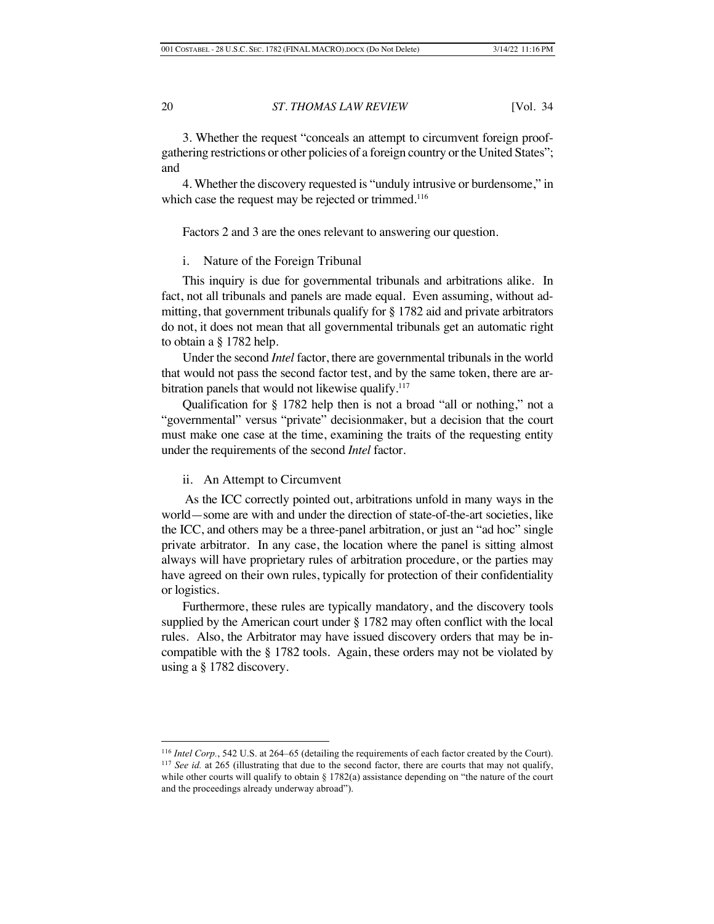3. Whether the request "conceals an attempt to circumvent foreign proofgathering restrictions or other policies of a foreign country or the United States"; and

4. Whether the discovery requested is "unduly intrusive or burdensome," in which case the request may be rejected or trimmed.<sup>116</sup>

Factors 2 and 3 are the ones relevant to answering our question.

i. Nature of the Foreign Tribunal

This inquiry is due for governmental tribunals and arbitrations alike. In fact, not all tribunals and panels are made equal. Even assuming, without admitting, that government tribunals qualify for § 1782 aid and private arbitrators do not, it does not mean that all governmental tribunals get an automatic right to obtain a § 1782 help.

Under the second *Intel* factor, there are governmental tribunals in the world that would not pass the second factor test, and by the same token, there are arbitration panels that would not likewise qualify.<sup>117</sup>

Qualification for § 1782 help then is not a broad "all or nothing," not a "governmental" versus "private" decisionmaker, but a decision that the court must make one case at the time, examining the traits of the requesting entity under the requirements of the second *Intel* factor.

#### ii. An Attempt to Circumvent

As the ICC correctly pointed out, arbitrations unfold in many ways in the world—some are with and under the direction of state-of-the-art societies, like the ICC, and others may be a three-panel arbitration, or just an "ad hoc" single private arbitrator. In any case, the location where the panel is sitting almost always will have proprietary rules of arbitration procedure, or the parties may have agreed on their own rules, typically for protection of their confidentiality or logistics.

Furthermore, these rules are typically mandatory, and the discovery tools supplied by the American court under § 1782 may often conflict with the local rules. Also, the Arbitrator may have issued discovery orders that may be incompatible with the § 1782 tools. Again, these orders may not be violated by using a § 1782 discovery.

<sup>&</sup>lt;sup>116</sup> *Intel Corp.*, 542 U.S. at 264–65 (detailing the requirements of each factor created by the Court). <sup>117</sup> *See id.* at 265 (illustrating that due to the second factor, there are courts that may not qualify, while other courts will qualify to obtain § 1782(a) assistance depending on "the nature of the court and the proceedings already underway abroad").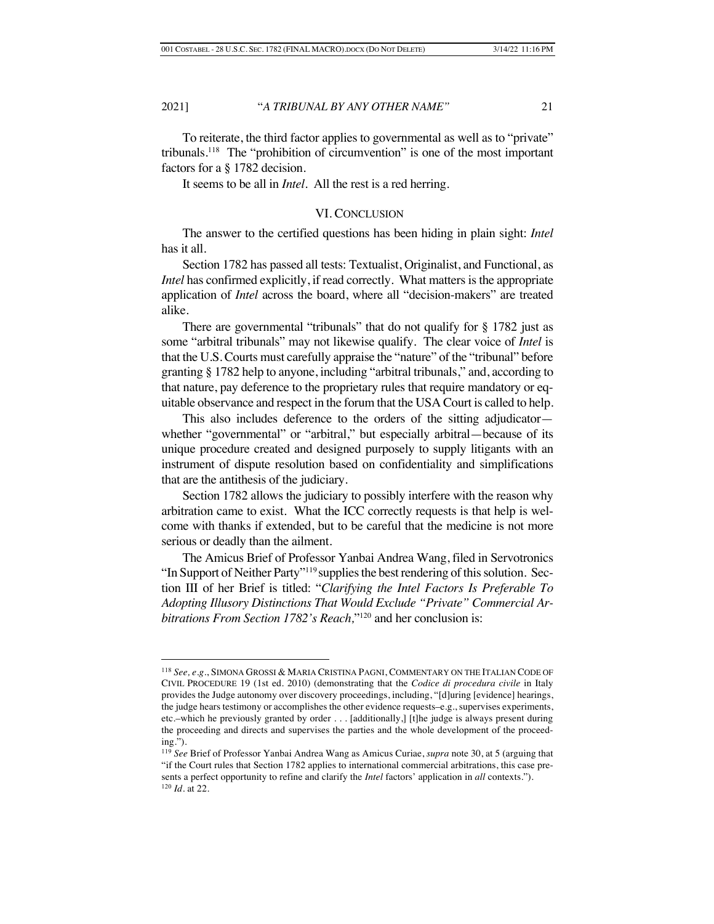To reiterate, the third factor applies to governmental as well as to "private" tribunals.118 The "prohibition of circumvention" is one of the most important factors for a § 1782 decision.

It seems to be all in *Intel*. All the rest is a red herring.

### VI. CONCLUSION

The answer to the certified questions has been hiding in plain sight: *Intel* has it all.

Section 1782 has passed all tests: Textualist, Originalist, and Functional, as *Intel* has confirmed explicitly, if read correctly. What matters is the appropriate application of *Intel* across the board, where all "decision-makers" are treated alike.

There are governmental "tribunals" that do not qualify for § 1782 just as some "arbitral tribunals" may not likewise qualify. The clear voice of *Intel* is that the U.S. Courts must carefully appraise the "nature" of the "tribunal" before granting § 1782 help to anyone, including "arbitral tribunals," and, according to that nature, pay deference to the proprietary rules that require mandatory or equitable observance and respect in the forum that the USA Court is called to help.

This also includes deference to the orders of the sitting adjudicator whether "governmental" or "arbitral," but especially arbitral—because of its unique procedure created and designed purposely to supply litigants with an instrument of dispute resolution based on confidentiality and simplifications that are the antithesis of the judiciary.

Section 1782 allows the judiciary to possibly interfere with the reason why arbitration came to exist. What the ICC correctly requests is that help is welcome with thanks if extended, but to be careful that the medicine is not more serious or deadly than the ailment.

The Amicus Brief of Professor Yanbai Andrea Wang, filed in Servotronics "In Support of Neither Party"<sup>119</sup> supplies the best rendering of this solution. Section III of her Brief is titled: "*Clarifying the Intel Factors Is Preferable To Adopting Illusory Distinctions That Would Exclude "Private" Commercial Arbitrations From Section 1782's Reach,*"120 and her conclusion is:

<sup>118</sup> *See, e.g.*, SIMONA GROSSI & MARIA CRISTINA PAGNI, COMMENTARY ON THE ITALIAN CODE OF CIVIL PROCEDURE 19 (1st ed. 2010) (demonstrating that the *Codice di procedura civile* in Italy provides the Judge autonomy over discovery proceedings, including, "[d]uring [evidence] hearings, the judge hears testimony or accomplishes the other evidence requests–e.g., supervises experiments, etc.–which he previously granted by order . . . [additionally,] [t]he judge is always present during the proceeding and directs and supervises the parties and the whole development of the proceeding.").

<sup>119</sup> *See* Brief of Professor Yanbai Andrea Wang as Amicus Curiae, *supra* note 30, at 5 (arguing that "if the Court rules that Section 1782 applies to international commercial arbitrations, this case presents a perfect opportunity to refine and clarify the *Intel* factors' application in *all* contexts."). <sup>120</sup> *Id.* at 22.